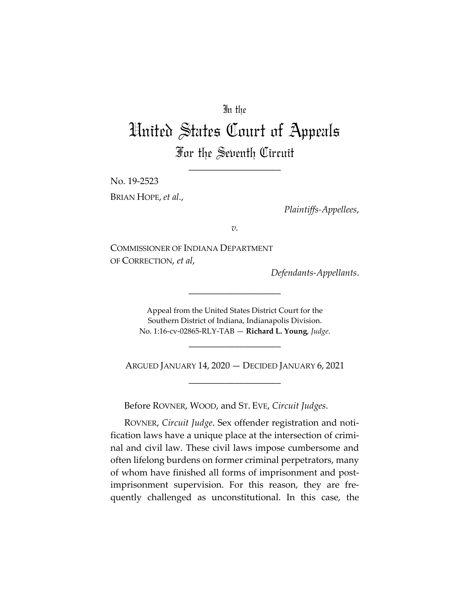# In the

# United States Court of Appeals For the Seventh Circuit

\_\_\_\_\_\_\_\_\_\_\_\_\_\_\_\_\_\_\_\_

No. 19-2523

BRIAN HOPE, *et al.*,

*Plaintiffs-Appellees*,

*v.*

COMMISSIONER OF INDIANA DEPARTMENT OF CORRECTION, *et al*,

*Defendants-Appellants*.

Appeal from the United States District Court for the Southern District of Indiana, Indianapolis Division. No. 1:16-cv-02865-RLY-TAB — **Richard L. Young**, *Judge*.

\_\_\_\_\_\_\_\_\_\_\_\_\_\_\_\_\_\_\_\_

\_\_\_\_\_\_\_\_\_\_\_\_\_\_\_\_\_\_\_\_

ARGUED JANUARY 14, 2020 — DECIDED JANUARY 6, 2021 \_\_\_\_\_\_\_\_\_\_\_\_\_\_\_\_\_\_\_\_

Before ROVNER, WOOD, and ST. EVE, *Circuit Judges*.

ROVNER, *Circuit Judge*. Sex offender registration and notification laws have a unique place at the intersection of criminal and civil law. These civil laws impose cumbersome and often lifelong burdens on former criminal perpetrators, many of whom have finished all forms of imprisonment and postimprisonment supervision. For this reason, they are frequently challenged as unconstitutional. In this case, the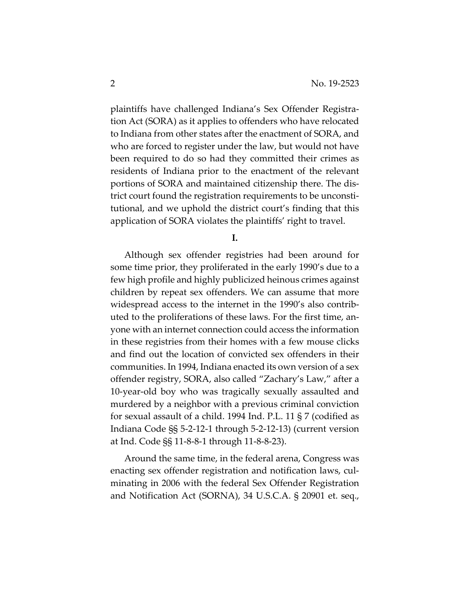plaintiffs have challenged Indiana's Sex Offender Registration Act (SORA) as it applies to offenders who have relocated to Indiana from other states after the enactment of SORA, and who are forced to register under the law, but would not have been required to do so had they committed their crimes as residents of Indiana prior to the enactment of the relevant portions of SORA and maintained citizenship there. The district court found the registration requirements to be unconstitutional, and we uphold the district court's finding that this application of SORA violates the plaintiffs' right to travel.

**I.** 

Although sex offender registries had been around for some time prior, they proliferated in the early 1990's due to a few high profile and highly publicized heinous crimes against children by repeat sex offenders. We can assume that more widespread access to the internet in the 1990's also contributed to the proliferations of these laws. For the first time, anyone with an internet connection could access the information in these registries from their homes with a few mouse clicks and find out the location of convicted sex offenders in their communities. In 1994, Indiana enacted its own version of a sex offender registry, SORA, also called "Zachary's Law," after a 10-year-old boy who was tragically sexually assaulted and murdered by a neighbor with a previous criminal conviction for sexual assault of a child. 1994 Ind. P.L. 11 § 7 (codified as Indiana Code §§ 5-2-12-1 through 5-2-12-13) (current version at Ind. Code §§ 11-8-8-1 through 11-8-8-23).

Around the same time, in the federal arena, Congress was enacting sex offender registration and notification laws, culminating in 2006 with the federal Sex Offender Registration and Notification Act (SORNA), 34 U.S.C.A. § 20901 et. seq.,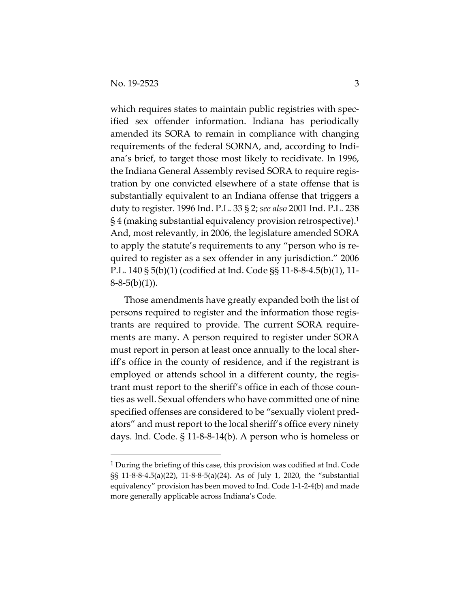which requires states to maintain public registries with specified sex offender information. Indiana has periodically amended its SORA to remain in compliance with changing requirements of the federal SORNA, and, according to Indiana's brief, to target those most likely to recidivate. In 1996, the Indiana General Assembly revised SORA to require registration by one convicted elsewhere of a state offense that is substantially equivalent to an Indiana offense that triggers a duty to register. 1996 Ind. P.L. 33 § 2; *see also* 2001 Ind. P.L. 238 § 4 (making substantial equivalency provision retrospective).1 And, most relevantly, in 2006, the legislature amended SORA to apply the statute's requirements to any "person who is required to register as a sex offender in any jurisdiction." 2006 P.L. 140 § 5(b)(1) (codified at Ind. Code §§ 11-8-8-4.5(b)(1), 11-  $8-8-5(b)(1)$ ).

Those amendments have greatly expanded both the list of persons required to register and the information those registrants are required to provide. The current SORA requirements are many. A person required to register under SORA must report in person at least once annually to the local sheriff's office in the county of residence, and if the registrant is employed or attends school in a different county, the registrant must report to the sheriff's office in each of those counties as well. Sexual offenders who have committed one of nine specified offenses are considered to be "sexually violent predators" and must report to the local sheriff's office every ninety days. Ind. Code. § 11-8-8-14(b). A person who is homeless or

 $1$  During the briefing of this case, this provision was codified at Ind. Code §§ 11-8-8-4.5(a)(22), 11-8-8-5(a)(24). As of July 1, 2020, the "substantial equivalency" provision has been moved to Ind. Code 1-1-2-4(b) and made more generally applicable across Indiana's Code.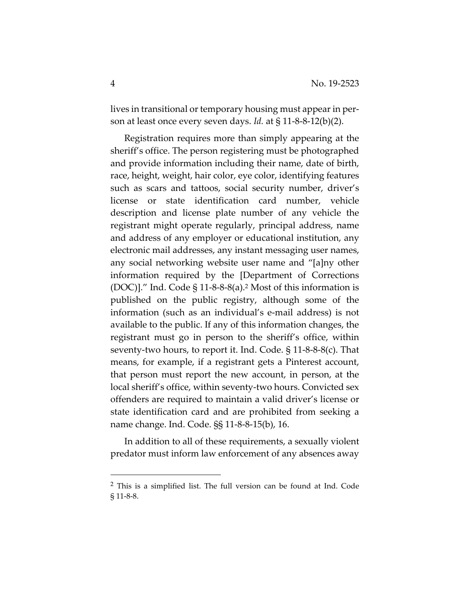lives in transitional or temporary housing must appear in person at least once every seven days. *Id.* at § 11-8-8-12(b)(2).

Registration requires more than simply appearing at the sheriff's office. The person registering must be photographed and provide information including their name, date of birth, race, height, weight, hair color, eye color, identifying features such as scars and tattoos, social security number, driver's license or state identification card number, vehicle description and license plate number of any vehicle the registrant might operate regularly, principal address, name and address of any employer or educational institution, any electronic mail addresses, any instant messaging user names, any social networking website user name and "[a]ny other information required by the [Department of Corrections  $(DOC)$ ]." Ind. Code § 11-8-8-8(a).<sup>2</sup> Most of this information is published on the public registry, although some of the information (such as an individual's e-mail address) is not available to the public. If any of this information changes, the registrant must go in person to the sheriff's office, within seventy-two hours, to report it. Ind. Code. § 11-8-8-8(c). That means, for example, if a registrant gets a Pinterest account, that person must report the new account, in person, at the local sheriff's office, within seventy-two hours. Convicted sex offenders are required to maintain a valid driver's license or state identification card and are prohibited from seeking a name change. Ind. Code. §§ 11-8-8-15(b), 16.

In addition to all of these requirements, a sexually violent predator must inform law enforcement of any absences away

<sup>2</sup> This is a simplified list. The full version can be found at Ind. Code § 11-8-8.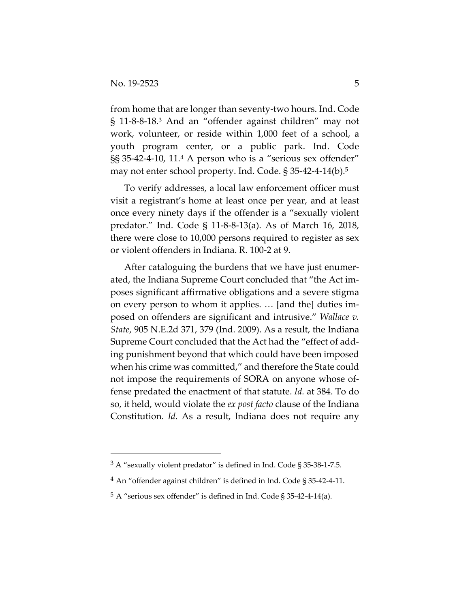from home that are longer than seventy-two hours. Ind. Code § 11-8-8-18.3 And an "offender against children" may not work, volunteer, or reside within 1,000 feet of a school, a youth program center, or a public park. Ind. Code §§ 35-42-4-10, 11.4 A person who is a "serious sex offender" may not enter school property. Ind. Code. § 35-42-4-14(b).5

To verify addresses, a local law enforcement officer must visit a registrant's home at least once per year, and at least once every ninety days if the offender is a "sexually violent predator." Ind. Code § 11-8-8-13(a). As of March 16, 2018, there were close to 10,000 persons required to register as sex or violent offenders in Indiana. R. 100-2 at 9.

After cataloguing the burdens that we have just enumerated, the Indiana Supreme Court concluded that "the Act imposes significant affirmative obligations and a severe stigma on every person to whom it applies. … [and the] duties imposed on offenders are significant and intrusive." *Wallace v. State*, 905 N.E.2d 371, 379 (Ind. 2009). As a result, the Indiana Supreme Court concluded that the Act had the "effect of adding punishment beyond that which could have been imposed when his crime was committed," and therefore the State could not impose the requirements of SORA on anyone whose offense predated the enactment of that statute. *Id.* at 384. To do so, it held, would violate the *ex post facto* clause of the Indiana Constitution. *Id.* As a result, Indiana does not require any

 $3 A$  "sexually violent predator" is defined in Ind. Code § 35-38-1-7.5.

<sup>4</sup> An "offender against children" is defined in Ind. Code § 35-42-4-11.

<sup>5</sup> A "serious sex offender" is defined in Ind. Code § 35-42-4-14(a).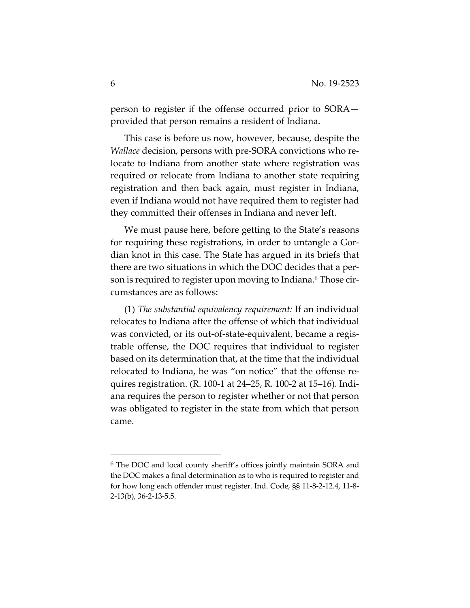person to register if the offense occurred prior to SORA provided that person remains a resident of Indiana.

This case is before us now, however, because, despite the *Wallace* decision, persons with pre-SORA convictions who relocate to Indiana from another state where registration was required or relocate from Indiana to another state requiring registration and then back again, must register in Indiana, even if Indiana would not have required them to register had they committed their offenses in Indiana and never left.

We must pause here, before getting to the State's reasons for requiring these registrations, in order to untangle a Gordian knot in this case. The State has argued in its briefs that there are two situations in which the DOC decides that a person is required to register upon moving to Indiana.6 Those circumstances are as follows:

(1) *The substantial equivalency requirement:* If an individual relocates to Indiana after the offense of which that individual was convicted, or its out-of-state-equivalent, became a registrable offense, the DOC requires that individual to register based on its determination that, at the time that the individual relocated to Indiana, he was "on notice" that the offense requires registration. (R. 100-1 at 24–25, R. 100-2 at 15–16). Indiana requires the person to register whether or not that person was obligated to register in the state from which that person came.

<sup>6</sup> The DOC and local county sheriff's offices jointly maintain SORA and the DOC makes a final determination as to who is required to register and for how long each offender must register. Ind. Code, §§ 11-8-2-12.4, 11-8- 2-13(b), 36-2-13-5.5.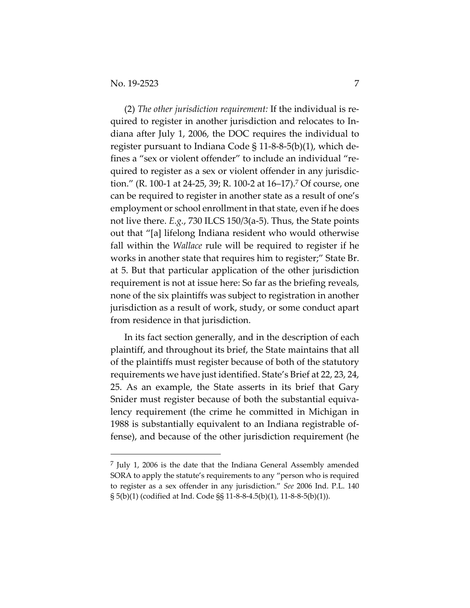(2) *The other jurisdiction requirement:* If the individual is required to register in another jurisdiction and relocates to Indiana after July 1, 2006, the DOC requires the individual to register pursuant to Indiana Code § 11-8-8-5(b)(1), which defines a "sex or violent offender" to include an individual "required to register as a sex or violent offender in any jurisdiction." (R. 100-1 at 24-25, 39; R. 100-2 at 16–17).7 Of course, one can be required to register in another state as a result of one's employment or school enrollment in that state, even if he does not live there. *E.g.*, 730 ILCS 150/3(a-5). Thus, the State points out that "[a] lifelong Indiana resident who would otherwise fall within the *Wallace* rule will be required to register if he works in another state that requires him to register;" State Br. at 5. But that particular application of the other jurisdiction requirement is not at issue here: So far as the briefing reveals, none of the six plaintiffs was subject to registration in another jurisdiction as a result of work, study, or some conduct apart from residence in that jurisdiction.

In its fact section generally, and in the description of each plaintiff, and throughout its brief, the State maintains that all of the plaintiffs must register because of both of the statutory requirements we have just identified. State's Brief at 22, 23, 24, 25. As an example, the State asserts in its brief that Gary Snider must register because of both the substantial equivalency requirement (the crime he committed in Michigan in 1988 is substantially equivalent to an Indiana registrable offense), and because of the other jurisdiction requirement (he

 $<sup>7</sup>$  July 1, 2006 is the date that the Indiana General Assembly amended</sup> SORA to apply the statute's requirements to any "person who is required to register as a sex offender in any jurisdiction." *See* 2006 Ind. P.L. 140 § 5(b)(1) (codified at Ind. Code §§ 11-8-8-4.5(b)(1), 11-8-8-5(b)(1)).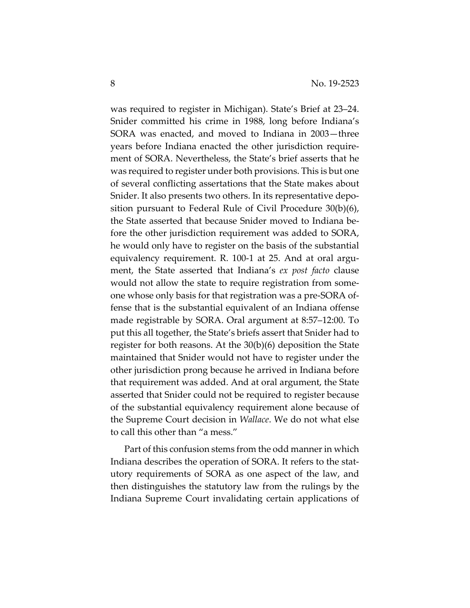was required to register in Michigan). State's Brief at 23–24. Snider committed his crime in 1988, long before Indiana's SORA was enacted, and moved to Indiana in 2003—three years before Indiana enacted the other jurisdiction requirement of SORA. Nevertheless, the State's brief asserts that he was required to register under both provisions. This is but one of several conflicting assertations that the State makes about Snider. It also presents two others. In its representative deposition pursuant to Federal Rule of Civil Procedure 30(b)(6), the State asserted that because Snider moved to Indiana before the other jurisdiction requirement was added to SORA, he would only have to register on the basis of the substantial equivalency requirement. R. 100-1 at 25. And at oral argument, the State asserted that Indiana's *ex post facto* clause would not allow the state to require registration from someone whose only basis for that registration was a pre-SORA offense that is the substantial equivalent of an Indiana offense made registrable by SORA. Oral argument at 8:57–12:00. To put this all together, the State's briefs assert that Snider had to register for both reasons. At the 30(b)(6) deposition the State maintained that Snider would not have to register under the other jurisdiction prong because he arrived in Indiana before that requirement was added. And at oral argument, the State asserted that Snider could not be required to register because of the substantial equivalency requirement alone because of the Supreme Court decision in *Wallace*. We do not what else to call this other than "a mess."

Part of this confusion stems from the odd manner in which Indiana describes the operation of SORA. It refers to the statutory requirements of SORA as one aspect of the law, and then distinguishes the statutory law from the rulings by the Indiana Supreme Court invalidating certain applications of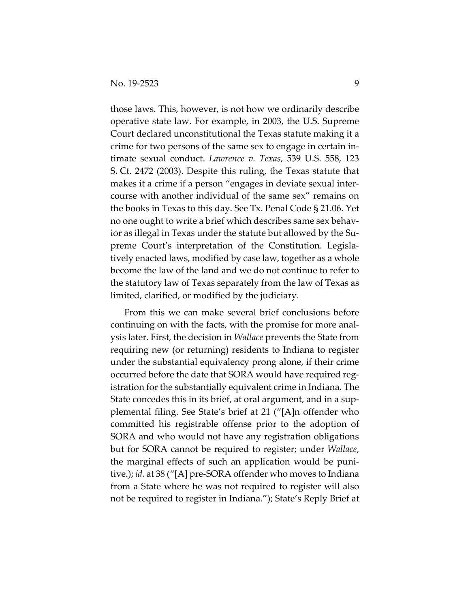those laws. This, however, is not how we ordinarily describe operative state law. For example, in 2003, the U.S. Supreme Court declared unconstitutional the Texas statute making it a crime for two persons of the same sex to engage in certain intimate sexual conduct. *Lawrence v. Texas*, 539 U.S. 558, 123 S. Ct. 2472 (2003). Despite this ruling, the Texas statute that makes it a crime if a person "engages in deviate sexual intercourse with another individual of the same sex" remains on the books in Texas to this day. See Tx. Penal Code § 21.06. Yet no one ought to write a brief which describes same sex behavior as illegal in Texas under the statute but allowed by the Supreme Court's interpretation of the Constitution. Legislatively enacted laws, modified by case law, together as a whole become the law of the land and we do not continue to refer to the statutory law of Texas separately from the law of Texas as limited, clarified, or modified by the judiciary.

From this we can make several brief conclusions before continuing on with the facts, with the promise for more analysis later. First, the decision in *Wallace* prevents the State from requiring new (or returning) residents to Indiana to register under the substantial equivalency prong alone, if their crime occurred before the date that SORA would have required registration for the substantially equivalent crime in Indiana. The State concedes this in its brief, at oral argument, and in a supplemental filing. See State's brief at 21 ("[A]n offender who committed his registrable offense prior to the adoption of SORA and who would not have any registration obligations but for SORA cannot be required to register; under *Wallace*, the marginal effects of such an application would be punitive.); *id.* at 38 ("[A] pre-SORA offender who moves to Indiana from a State where he was not required to register will also not be required to register in Indiana."); State's Reply Brief at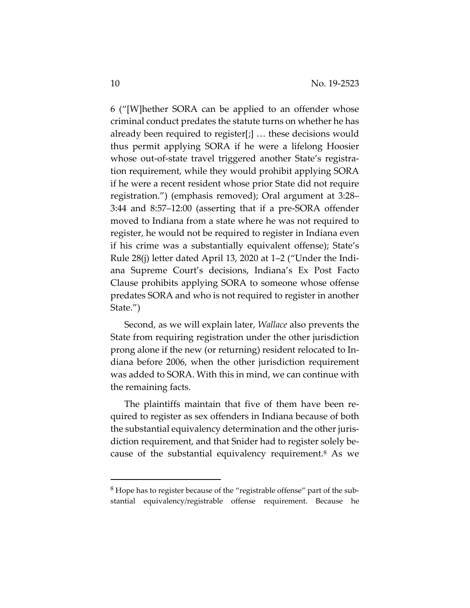6 ("[W]hether SORA can be applied to an offender whose criminal conduct predates the statute turns on whether he has already been required to register[;] … these decisions would thus permit applying SORA if he were a lifelong Hoosier whose out-of-state travel triggered another State's registration requirement, while they would prohibit applying SORA if he were a recent resident whose prior State did not require registration.") (emphasis removed); Oral argument at 3:28– 3:44 and 8:57–12:00 (asserting that if a pre-SORA offender moved to Indiana from a state where he was not required to register, he would not be required to register in Indiana even if his crime was a substantially equivalent offense); State's Rule 28(j) letter dated April 13, 2020 at 1–2 ("Under the Indiana Supreme Court's decisions, Indiana's Ex Post Facto Clause prohibits applying SORA to someone whose offense predates SORA and who is not required to register in another State.")

Second, as we will explain later, *Wallace* also prevents the State from requiring registration under the other jurisdiction prong alone if the new (or returning) resident relocated to Indiana before 2006, when the other jurisdiction requirement was added to SORA. With this in mind, we can continue with the remaining facts.

The plaintiffs maintain that five of them have been required to register as sex offenders in Indiana because of both the substantial equivalency determination and the other jurisdiction requirement, and that Snider had to register solely because of the substantial equivalency requirement.<sup>8</sup> As we

 $8$  Hope has to register because of the "registrable offense" part of the substantial equivalency/registrable offense requirement. Because he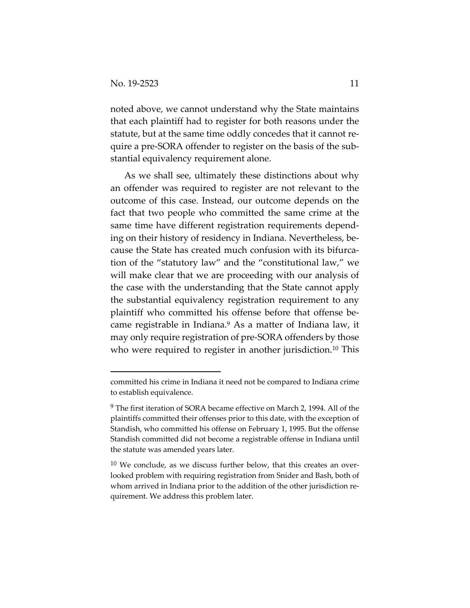noted above, we cannot understand why the State maintains that each plaintiff had to register for both reasons under the statute, but at the same time oddly concedes that it cannot require a pre-SORA offender to register on the basis of the substantial equivalency requirement alone.

As we shall see, ultimately these distinctions about why an offender was required to register are not relevant to the outcome of this case. Instead, our outcome depends on the fact that two people who committed the same crime at the same time have different registration requirements depending on their history of residency in Indiana. Nevertheless, because the State has created much confusion with its bifurcation of the "statutory law" and the "constitutional law," we will make clear that we are proceeding with our analysis of the case with the understanding that the State cannot apply the substantial equivalency registration requirement to any plaintiff who committed his offense before that offense became registrable in Indiana.9 As a matter of Indiana law, it may only require registration of pre-SORA offenders by those who were required to register in another jurisdiction.<sup>10</sup> This

committed his crime in Indiana it need not be compared to Indiana crime to establish equivalence.

<sup>&</sup>lt;sup>9</sup> The first iteration of SORA became effective on March 2, 1994. All of the plaintiffs committed their offenses prior to this date, with the exception of Standish, who committed his offense on February 1, 1995. But the offense Standish committed did not become a registrable offense in Indiana until the statute was amended years later.

 $10$  We conclude, as we discuss further below, that this creates an overlooked problem with requiring registration from Snider and Bash, both of whom arrived in Indiana prior to the addition of the other jurisdiction requirement. We address this problem later.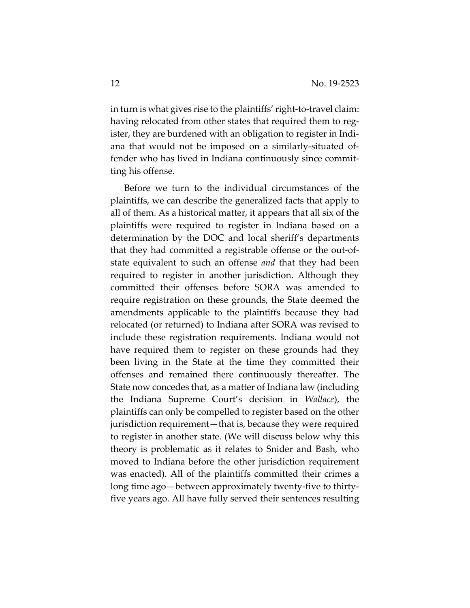in turn is what gives rise to the plaintiffs' right-to-travel claim: having relocated from other states that required them to register, they are burdened with an obligation to register in Indiana that would not be imposed on a similarly-situated offender who has lived in Indiana continuously since committing his offense.

Before we turn to the individual circumstances of the plaintiffs, we can describe the generalized facts that apply to all of them. As a historical matter, it appears that all six of the plaintiffs were required to register in Indiana based on a determination by the DOC and local sheriff's departments that they had committed a registrable offense or the out-ofstate equivalent to such an offense *and* that they had been required to register in another jurisdiction. Although they committed their offenses before SORA was amended to require registration on these grounds, the State deemed the amendments applicable to the plaintiffs because they had relocated (or returned) to Indiana after SORA was revised to include these registration requirements. Indiana would not have required them to register on these grounds had they been living in the State at the time they committed their offenses and remained there continuously thereafter. The State now concedes that, as a matter of Indiana law (including the Indiana Supreme Court's decision in *Wallace*), the plaintiffs can only be compelled to register based on the other jurisdiction requirement—that is, because they were required to register in another state. (We will discuss below why this theory is problematic as it relates to Snider and Bash, who moved to Indiana before the other jurisdiction requirement was enacted). All of the plaintiffs committed their crimes a long time ago—between approximately twenty-five to thirtyfive years ago. All have fully served their sentences resulting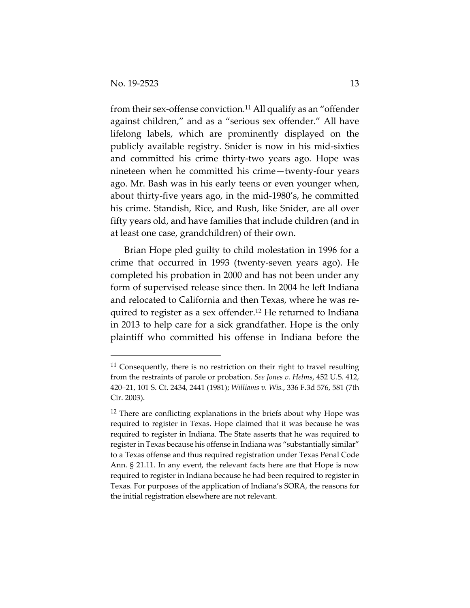from their sex-offense conviction.11 All qualify as an "offender against children," and as a "serious sex offender." All have lifelong labels, which are prominently displayed on the publicly available registry. Snider is now in his mid-sixties and committed his crime thirty-two years ago. Hope was nineteen when he committed his crime—twenty-four years ago. Mr. Bash was in his early teens or even younger when, about thirty-five years ago, in the mid-1980's, he committed his crime. Standish, Rice, and Rush, like Snider, are all over fifty years old, and have families that include children (and in at least one case, grandchildren) of their own.

Brian Hope pled guilty to child molestation in 1996 for a crime that occurred in 1993 (twenty-seven years ago). He completed his probation in 2000 and has not been under any form of supervised release since then. In 2004 he left Indiana and relocated to California and then Texas, where he was required to register as a sex offender.<sup>12</sup> He returned to Indiana in 2013 to help care for a sick grandfather. Hope is the only plaintiff who committed his offense in Indiana before the

 $11$  Consequently, there is no restriction on their right to travel resulting from the restraints of parole or probation. *See Jones v. Helms*, 452 U.S. 412, 420–21, 101 S. Ct. 2434, 2441 (1981); *Williams v. Wis.*, 336 F.3d 576, 581 (7th Cir. 2003).

<sup>&</sup>lt;sup>12</sup> There are conflicting explanations in the briefs about why Hope was required to register in Texas. Hope claimed that it was because he was required to register in Indiana. The State asserts that he was required to register in Texas because his offense in Indiana was "substantially similar" to a Texas offense and thus required registration under Texas Penal Code Ann. § 21.11. In any event, the relevant facts here are that Hope is now required to register in Indiana because he had been required to register in Texas. For purposes of the application of Indiana's SORA, the reasons for the initial registration elsewhere are not relevant.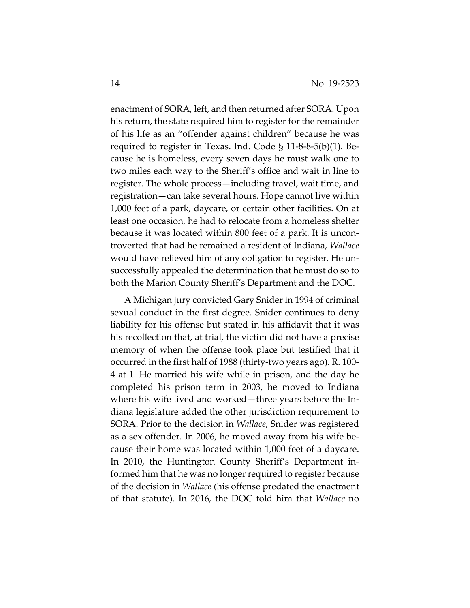enactment of SORA, left, and then returned after SORA. Upon his return, the state required him to register for the remainder of his life as an "offender against children" because he was required to register in Texas. Ind. Code § 11-8-8-5(b)(1). Because he is homeless, every seven days he must walk one to two miles each way to the Sheriff's office and wait in line to register. The whole process—including travel, wait time, and registration—can take several hours. Hope cannot live within 1,000 feet of a park, daycare, or certain other facilities. On at least one occasion, he had to relocate from a homeless shelter because it was located within 800 feet of a park. It is uncontroverted that had he remained a resident of Indiana, *Wallace* would have relieved him of any obligation to register. He unsuccessfully appealed the determination that he must do so to both the Marion County Sheriff's Department and the DOC.

A Michigan jury convicted Gary Snider in 1994 of criminal sexual conduct in the first degree. Snider continues to deny liability for his offense but stated in his affidavit that it was his recollection that, at trial, the victim did not have a precise memory of when the offense took place but testified that it occurred in the first half of 1988 (thirty-two years ago). R. 100- 4 at 1. He married his wife while in prison, and the day he completed his prison term in 2003, he moved to Indiana where his wife lived and worked—three years before the Indiana legislature added the other jurisdiction requirement to SORA. Prior to the decision in *Wallace*, Snider was registered as a sex offender*.* In 2006, he moved away from his wife because their home was located within 1,000 feet of a daycare. In 2010, the Huntington County Sheriff's Department informed him that he was no longer required to register because of the decision in *Wallace* (his offense predated the enactment of that statute). In 2016, the DOC told him that *Wallace* no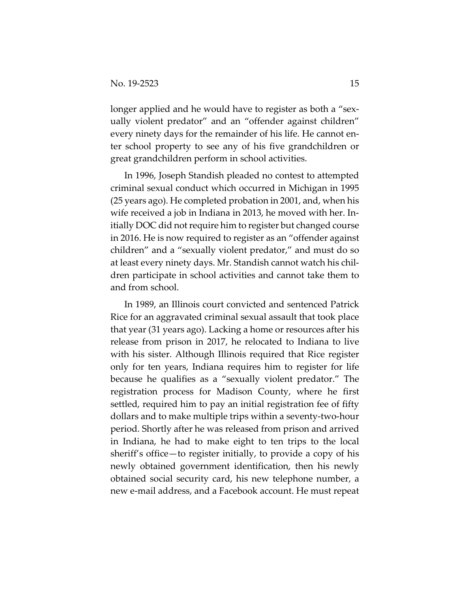longer applied and he would have to register as both a "sexually violent predator" and an "offender against children" every ninety days for the remainder of his life. He cannot enter school property to see any of his five grandchildren or great grandchildren perform in school activities.

In 1996, Joseph Standish pleaded no contest to attempted criminal sexual conduct which occurred in Michigan in 1995 (25 years ago). He completed probation in 2001, and, when his wife received a job in Indiana in 2013, he moved with her. Initially DOC did not require him to register but changed course in 2016. He is now required to register as an "offender against children" and a "sexually violent predator," and must do so at least every ninety days. Mr. Standish cannot watch his children participate in school activities and cannot take them to and from school.

In 1989, an Illinois court convicted and sentenced Patrick Rice for an aggravated criminal sexual assault that took place that year (31 years ago). Lacking a home or resources after his release from prison in 2017, he relocated to Indiana to live with his sister. Although Illinois required that Rice register only for ten years, Indiana requires him to register for life because he qualifies as a "sexually violent predator." The registration process for Madison County, where he first settled, required him to pay an initial registration fee of fifty dollars and to make multiple trips within a seventy-two-hour period. Shortly after he was released from prison and arrived in Indiana, he had to make eight to ten trips to the local sheriff's office—to register initially, to provide a copy of his newly obtained government identification, then his newly obtained social security card, his new telephone number, a new e-mail address, and a Facebook account. He must repeat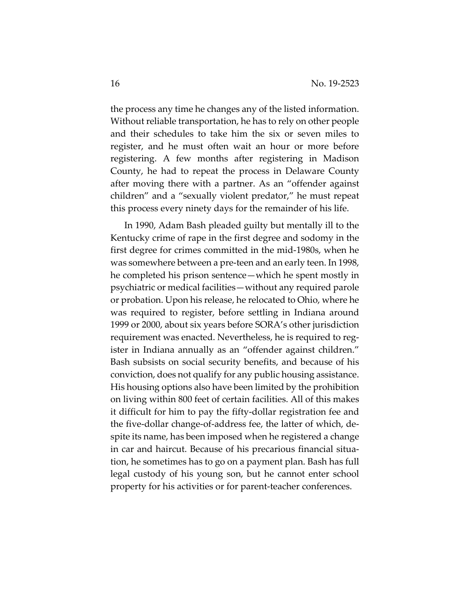the process any time he changes any of the listed information. Without reliable transportation, he has to rely on other people and their schedules to take him the six or seven miles to register, and he must often wait an hour or more before registering. A few months after registering in Madison County, he had to repeat the process in Delaware County after moving there with a partner. As an "offender against children" and a "sexually violent predator," he must repeat this process every ninety days for the remainder of his life.

In 1990, Adam Bash pleaded guilty but mentally ill to the Kentucky crime of rape in the first degree and sodomy in the first degree for crimes committed in the mid-1980s, when he was somewhere between a pre-teen and an early teen. In 1998, he completed his prison sentence—which he spent mostly in psychiatric or medical facilities—without any required parole or probation. Upon his release, he relocated to Ohio, where he was required to register, before settling in Indiana around 1999 or 2000, about six years before SORA's other jurisdiction requirement was enacted. Nevertheless, he is required to register in Indiana annually as an "offender against children." Bash subsists on social security benefits, and because of his conviction, does not qualify for any public housing assistance. His housing options also have been limited by the prohibition on living within 800 feet of certain facilities. All of this makes it difficult for him to pay the fifty-dollar registration fee and the five-dollar change-of-address fee, the latter of which, despite its name, has been imposed when he registered a change in car and haircut. Because of his precarious financial situation, he sometimes has to go on a payment plan. Bash has full legal custody of his young son, but he cannot enter school property for his activities or for parent-teacher conferences.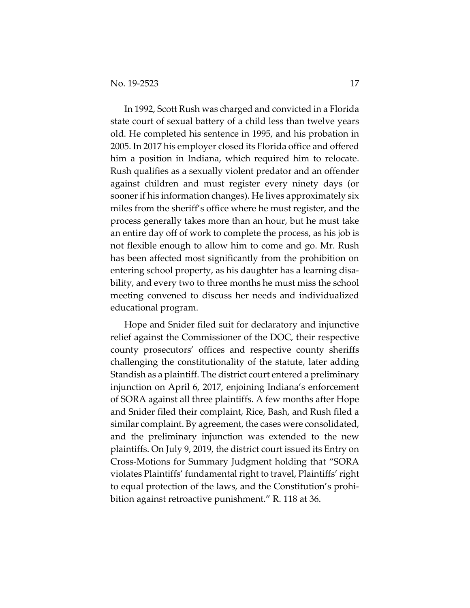In 1992, Scott Rush was charged and convicted in a Florida state court of sexual battery of a child less than twelve years old. He completed his sentence in 1995, and his probation in 2005. In 2017 his employer closed its Florida office and offered him a position in Indiana, which required him to relocate. Rush qualifies as a sexually violent predator and an offender against children and must register every ninety days (or sooner if his information changes). He lives approximately six miles from the sheriff's office where he must register, and the process generally takes more than an hour, but he must take an entire day off of work to complete the process, as his job is not flexible enough to allow him to come and go. Mr. Rush has been affected most significantly from the prohibition on entering school property, as his daughter has a learning disability, and every two to three months he must miss the school meeting convened to discuss her needs and individualized educational program.

Hope and Snider filed suit for declaratory and injunctive relief against the Commissioner of the DOC, their respective county prosecutors' offices and respective county sheriffs challenging the constitutionality of the statute, later adding Standish as a plaintiff. The district court entered a preliminary injunction on April 6, 2017, enjoining Indiana's enforcement of SORA against all three plaintiffs. A few months after Hope and Snider filed their complaint, Rice, Bash, and Rush filed a similar complaint. By agreement, the cases were consolidated, and the preliminary injunction was extended to the new plaintiffs. On July 9, 2019, the district court issued its Entry on Cross-Motions for Summary Judgment holding that "SORA violates Plaintiffs' fundamental right to travel, Plaintiffs' right to equal protection of the laws, and the Constitution's prohibition against retroactive punishment." R. 118 at 36.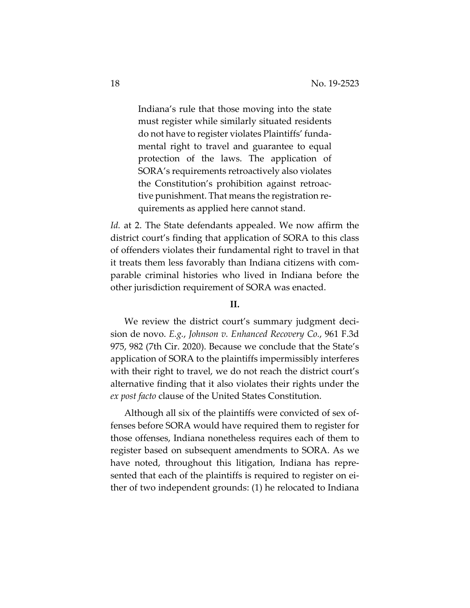Indiana's rule that those moving into the state must register while similarly situated residents do not have to register violates Plaintiffs' fundamental right to travel and guarantee to equal protection of the laws. The application of SORA's requirements retroactively also violates the Constitution's prohibition against retroactive punishment. That means the registration requirements as applied here cannot stand.

*Id.* at 2. The State defendants appealed. We now affirm the district court's finding that application of SORA to this class of offenders violates their fundamental right to travel in that it treats them less favorably than Indiana citizens with comparable criminal histories who lived in Indiana before the other jurisdiction requirement of SORA was enacted.

### **II.**

We review the district court's summary judgment decision de novo. *E.g.*, *Johnson v. Enhanced Recovery Co.*, 961 F.3d 975, 982 (7th Cir. 2020). Because we conclude that the State's application of SORA to the plaintiffs impermissibly interferes with their right to travel, we do not reach the district court's alternative finding that it also violates their rights under the *ex post facto* clause of the United States Constitution.

Although all six of the plaintiffs were convicted of sex offenses before SORA would have required them to register for those offenses, Indiana nonetheless requires each of them to register based on subsequent amendments to SORA. As we have noted, throughout this litigation, Indiana has represented that each of the plaintiffs is required to register on either of two independent grounds: (1) he relocated to Indiana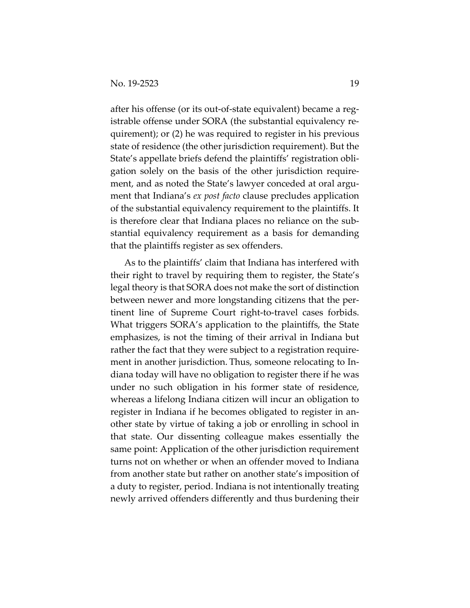after his offense (or its out-of-state equivalent) became a registrable offense under SORA (the substantial equivalency requirement); or (2) he was required to register in his previous state of residence (the other jurisdiction requirement). But the State's appellate briefs defend the plaintiffs' registration obligation solely on the basis of the other jurisdiction requirement, and as noted the State's lawyer conceded at oral argument that Indiana's *ex post facto* clause precludes application of the substantial equivalency requirement to the plaintiffs. It is therefore clear that Indiana places no reliance on the substantial equivalency requirement as a basis for demanding that the plaintiffs register as sex offenders.

As to the plaintiffs' claim that Indiana has interfered with their right to travel by requiring them to register, the State's legal theory is that SORA does not make the sort of distinction between newer and more longstanding citizens that the pertinent line of Supreme Court right-to-travel cases forbids. What triggers SORA's application to the plaintiffs, the State emphasizes, is not the timing of their arrival in Indiana but rather the fact that they were subject to a registration requirement in another jurisdiction. Thus, someone relocating to Indiana today will have no obligation to register there if he was under no such obligation in his former state of residence, whereas a lifelong Indiana citizen will incur an obligation to register in Indiana if he becomes obligated to register in another state by virtue of taking a job or enrolling in school in that state. Our dissenting colleague makes essentially the same point: Application of the other jurisdiction requirement turns not on whether or when an offender moved to Indiana from another state but rather on another state's imposition of a duty to register, period. Indiana is not intentionally treating newly arrived offenders differently and thus burdening their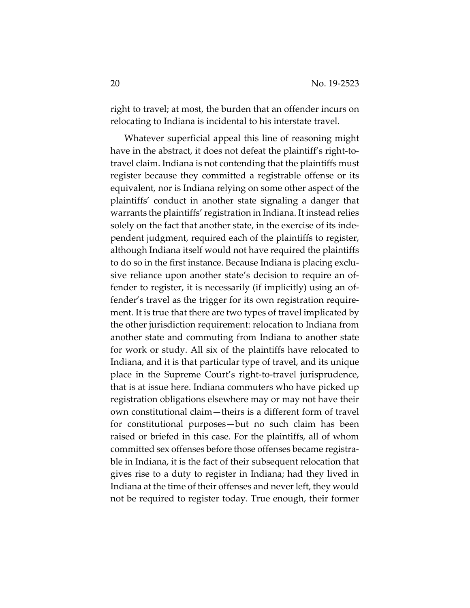right to travel; at most, the burden that an offender incurs on relocating to Indiana is incidental to his interstate travel.

Whatever superficial appeal this line of reasoning might have in the abstract, it does not defeat the plaintiff's right-totravel claim. Indiana is not contending that the plaintiffs must register because they committed a registrable offense or its equivalent, nor is Indiana relying on some other aspect of the plaintiffs' conduct in another state signaling a danger that warrants the plaintiffs' registration in Indiana. It instead relies solely on the fact that another state, in the exercise of its independent judgment, required each of the plaintiffs to register, although Indiana itself would not have required the plaintiffs to do so in the first instance. Because Indiana is placing exclusive reliance upon another state's decision to require an offender to register, it is necessarily (if implicitly) using an offender's travel as the trigger for its own registration requirement. It is true that there are two types of travel implicated by the other jurisdiction requirement: relocation to Indiana from another state and commuting from Indiana to another state for work or study. All six of the plaintiffs have relocated to Indiana, and it is that particular type of travel, and its unique place in the Supreme Court's right-to-travel jurisprudence, that is at issue here. Indiana commuters who have picked up registration obligations elsewhere may or may not have their own constitutional claim—theirs is a different form of travel for constitutional purposes—but no such claim has been raised or briefed in this case. For the plaintiffs, all of whom committed sex offenses before those offenses became registrable in Indiana, it is the fact of their subsequent relocation that gives rise to a duty to register in Indiana; had they lived in Indiana at the time of their offenses and never left, they would not be required to register today. True enough, their former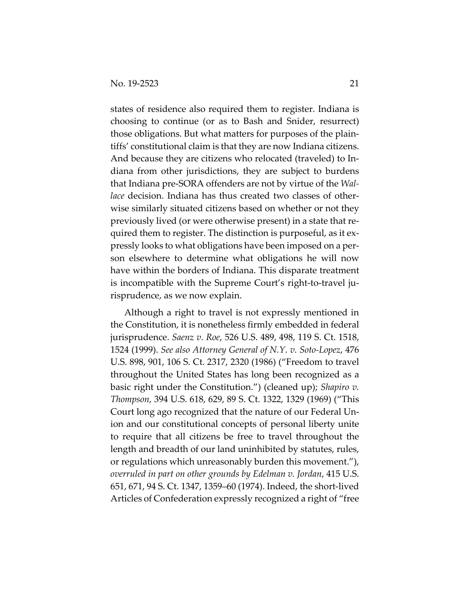states of residence also required them to register. Indiana is choosing to continue (or as to Bash and Snider, resurrect) those obligations. But what matters for purposes of the plaintiffs' constitutional claim is that they are now Indiana citizens. And because they are citizens who relocated (traveled) to Indiana from other jurisdictions, they are subject to burdens that Indiana pre-SORA offenders are not by virtue of the *Wallace* decision. Indiana has thus created two classes of otherwise similarly situated citizens based on whether or not they previously lived (or were otherwise present) in a state that required them to register. The distinction is purposeful, as it expressly looks to what obligations have been imposed on a person elsewhere to determine what obligations he will now have within the borders of Indiana. This disparate treatment is incompatible with the Supreme Court's right-to-travel jurisprudence, as we now explain.

Although a right to travel is not expressly mentioned in the Constitution, it is nonetheless firmly embedded in federal jurisprudence. *Saenz v. Roe*, 526 U.S. 489, 498, 119 S. Ct. 1518, 1524 (1999). *See also Attorney General of N.Y. v. Soto-Lopez*, 476 U.S. 898, 901, 106 S. Ct. 2317, 2320 (1986) ("Freedom to travel throughout the United States has long been recognized as a basic right under the Constitution.") (cleaned up); *Shapiro v. Thompson*, 394 U.S. 618, 629, 89 S. Ct. 1322, 1329 (1969) ("This Court long ago recognized that the nature of our Federal Union and our constitutional concepts of personal liberty unite to require that all citizens be free to travel throughout the length and breadth of our land uninhibited by statutes, rules, or regulations which unreasonably burden this movement."), *overruled in part on other grounds by Edelman v. Jordan*, 415 U.S. 651, 671, 94 S. Ct. 1347, 1359–60 (1974). Indeed, the short-lived Articles of Confederation expressly recognized a right of "free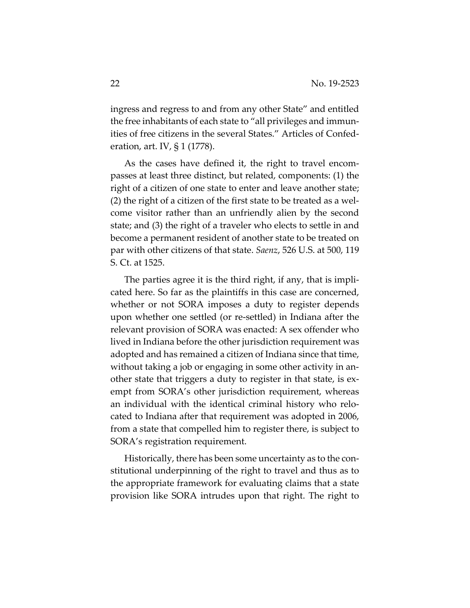ingress and regress to and from any other State" and entitled the free inhabitants of each state to "all privileges and immunities of free citizens in the several States." Articles of Confederation, art. IV, § 1 (1778).

As the cases have defined it, the right to travel encompasses at least three distinct, but related, components: (1) the right of a citizen of one state to enter and leave another state; (2) the right of a citizen of the first state to be treated as a welcome visitor rather than an unfriendly alien by the second state; and (3) the right of a traveler who elects to settle in and become a permanent resident of another state to be treated on par with other citizens of that state. *Saenz*, 526 U.S. at 500, 119 S. Ct. at 1525.

The parties agree it is the third right, if any, that is implicated here. So far as the plaintiffs in this case are concerned, whether or not SORA imposes a duty to register depends upon whether one settled (or re-settled) in Indiana after the relevant provision of SORA was enacted: A sex offender who lived in Indiana before the other jurisdiction requirement was adopted and has remained a citizen of Indiana since that time, without taking a job or engaging in some other activity in another state that triggers a duty to register in that state, is exempt from SORA's other jurisdiction requirement, whereas an individual with the identical criminal history who relocated to Indiana after that requirement was adopted in 2006, from a state that compelled him to register there, is subject to SORA's registration requirement.

Historically, there has been some uncertainty as to the constitutional underpinning of the right to travel and thus as to the appropriate framework for evaluating claims that a state provision like SORA intrudes upon that right. The right to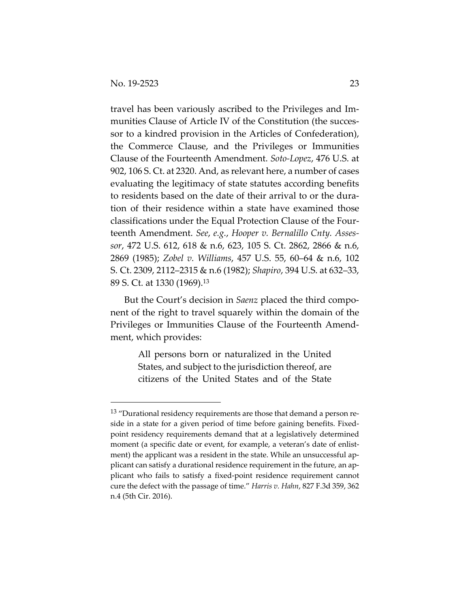travel has been variously ascribed to the Privileges and Immunities Clause of Article IV of the Constitution (the successor to a kindred provision in the Articles of Confederation), the Commerce Clause, and the Privileges or Immunities Clause of the Fourteenth Amendment. *Soto-Lopez*, 476 U.S. at 902, 106 S. Ct. at 2320. And, as relevant here, a number of cases evaluating the legitimacy of state statutes according benefits to residents based on the date of their arrival to or the duration of their residence within a state have examined those classifications under the Equal Protection Clause of the Fourteenth Amendment. *See*, *e.g.*, *Hooper v. Bernalillo Cnty. Assessor*, 472 U.S. 612, 618 & n.6, 623, 105 S. Ct. 2862, 2866 & n.6, 2869 (1985); *Zobel v. Williams*, 457 U.S. 55, 60–64 & n.6, 102 S. Ct. 2309, 2112–2315 & n.6 (1982); *Shapiro*, 394 U.S. at 632–33, 89 S. Ct. at 1330 (1969).13

But the Court's decision in *Saenz* placed the third component of the right to travel squarely within the domain of the Privileges or Immunities Clause of the Fourteenth Amendment, which provides:

> All persons born or naturalized in the United States, and subject to the jurisdiction thereof, are citizens of the United States and of the State

<sup>&</sup>lt;sup>13</sup> "Durational residency requirements are those that demand a person reside in a state for a given period of time before gaining benefits. Fixedpoint residency requirements demand that at a legislatively determined moment (a specific date or event, for example, a veteran's date of enlistment) the applicant was a resident in the state. While an unsuccessful applicant can satisfy a durational residence requirement in the future, an applicant who fails to satisfy a fixed-point residence requirement cannot cure the defect with the passage of time." *Harris v. Hahn*, 827 F.3d 359, 362 n.4 (5th Cir. 2016).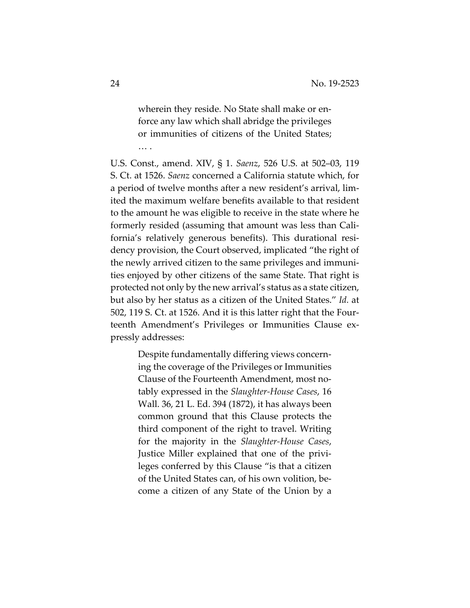wherein they reside. No State shall make or enforce any law which shall abridge the privileges or immunities of citizens of the United States;

U.S. Const., amend. XIV, § 1. *Saenz*, 526 U.S. at 502–03, 119 S. Ct. at 1526. *Saenz* concerned a California statute which, for a period of twelve months after a new resident's arrival, limited the maximum welfare benefits available to that resident to the amount he was eligible to receive in the state where he formerly resided (assuming that amount was less than California's relatively generous benefits). This durational residency provision, the Court observed, implicated "the right of the newly arrived citizen to the same privileges and immunities enjoyed by other citizens of the same State. That right is protected not only by the new arrival's status as a state citizen, but also by her status as a citizen of the United States." *Id.* at 502, 119 S. Ct. at 1526. And it is this latter right that the Fourteenth Amendment's Privileges or Immunities Clause expressly addresses:

> Despite fundamentally differing views concerning the coverage of the Privileges or Immunities Clause of the Fourteenth Amendment, most notably expressed in the *Slaughter-House Cases*, 16 Wall. 36, 21 L. Ed. 394 (1872), it has always been common ground that this Clause protects the third component of the right to travel. Writing for the majority in the *Slaughter-House Cases*, Justice Miller explained that one of the privileges conferred by this Clause "is that a citizen of the United States can, of his own volition, become a citizen of any State of the Union by a

… .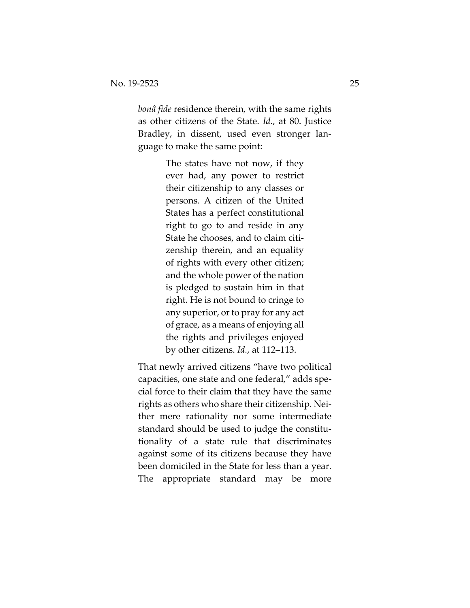*bonâ fide* residence therein, with the same rights as other citizens of the State. *Id.*, at 80. Justice Bradley, in dissent, used even stronger language to make the same point:

> The states have not now, if they ever had, any power to restrict their citizenship to any classes or persons. A citizen of the United States has a perfect constitutional right to go to and reside in any State he chooses, and to claim citizenship therein, and an equality of rights with every other citizen; and the whole power of the nation is pledged to sustain him in that right. He is not bound to cringe to any superior, or to pray for any act of grace, as a means of enjoying all the rights and privileges enjoyed by other citizens. *Id.*, at 112–113.

That newly arrived citizens "have two political capacities, one state and one federal," adds special force to their claim that they have the same rights as others who share their citizenship. Neither mere rationality nor some intermediate standard should be used to judge the constitutionality of a state rule that discriminates against some of its citizens because they have been domiciled in the State for less than a year. The appropriate standard may be more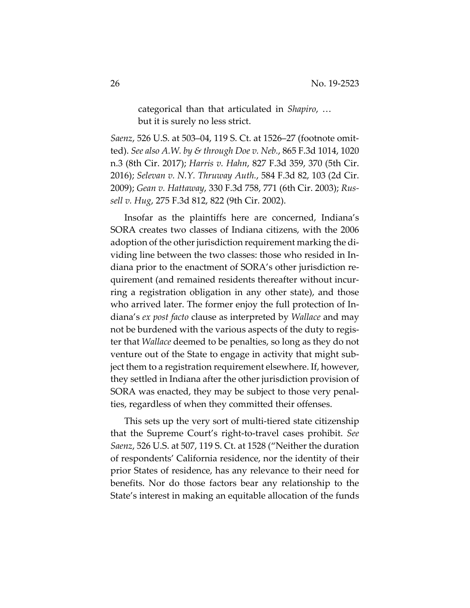categorical than that articulated in *Shapiro*, … but it is surely no less strict.

*Saenz*, 526 U.S. at 503–04, 119 S. Ct. at 1526–27 (footnote omitted). *See also A.W. by & through Doe v. Neb.*, 865 F.3d 1014, 1020 n.3 (8th Cir. 2017); *Harris v. Hahn*, 827 F.3d 359, 370 (5th Cir. 2016); *Selevan v. N.Y. Thruway Auth.*, 584 F.3d 82, 103 (2d Cir. 2009); *Gean v. Hattaway*, 330 F.3d 758, 771 (6th Cir. 2003); *Russell v. Hug*, 275 F.3d 812, 822 (9th Cir. 2002).

Insofar as the plaintiffs here are concerned, Indiana's SORA creates two classes of Indiana citizens, with the 2006 adoption of the other jurisdiction requirement marking the dividing line between the two classes: those who resided in Indiana prior to the enactment of SORA's other jurisdiction requirement (and remained residents thereafter without incurring a registration obligation in any other state), and those who arrived later. The former enjoy the full protection of Indiana's *ex post facto* clause as interpreted by *Wallace* and may not be burdened with the various aspects of the duty to register that *Wallace* deemed to be penalties, so long as they do not venture out of the State to engage in activity that might subject them to a registration requirement elsewhere. If, however, they settled in Indiana after the other jurisdiction provision of SORA was enacted, they may be subject to those very penalties, regardless of when they committed their offenses.

This sets up the very sort of multi-tiered state citizenship that the Supreme Court's right-to-travel cases prohibit. *See Saenz*, 526 U.S. at 507, 119 S. Ct. at 1528 ("Neither the duration of respondents' California residence, nor the identity of their prior States of residence, has any relevance to their need for benefits. Nor do those factors bear any relationship to the State's interest in making an equitable allocation of the funds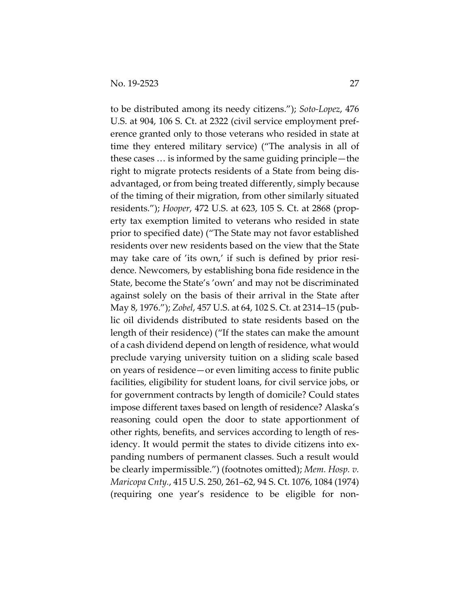to be distributed among its needy citizens."); *Soto-Lopez*, 476 U.S. at 904, 106 S. Ct. at 2322 (civil service employment preference granted only to those veterans who resided in state at time they entered military service) ("The analysis in all of these cases … is informed by the same guiding principle—the right to migrate protects residents of a State from being disadvantaged, or from being treated differently, simply because of the timing of their migration, from other similarly situated residents."); *Hooper*, 472 U.S. at 623, 105 S. Ct. at 2868 (property tax exemption limited to veterans who resided in state prior to specified date) ("The State may not favor established residents over new residents based on the view that the State may take care of 'its own,' if such is defined by prior residence. Newcomers, by establishing bona fide residence in the State, become the State's 'own' and may not be discriminated against solely on the basis of their arrival in the State after May 8, 1976."); *Zobel*, 457 U.S. at 64, 102 S. Ct. at 2314–15 (public oil dividends distributed to state residents based on the length of their residence) ("If the states can make the amount of a cash dividend depend on length of residence, what would preclude varying university tuition on a sliding scale based on years of residence—or even limiting access to finite public facilities, eligibility for student loans, for civil service jobs, or for government contracts by length of domicile? Could states impose different taxes based on length of residence? Alaska's reasoning could open the door to state apportionment of other rights, benefits, and services according to length of residency. It would permit the states to divide citizens into expanding numbers of permanent classes. Such a result would be clearly impermissible.") (footnotes omitted); *Mem. Hosp. v. Maricopa Cnty.*, 415 U.S. 250, 261–62, 94 S. Ct. 1076, 1084 (1974) (requiring one year's residence to be eligible for non-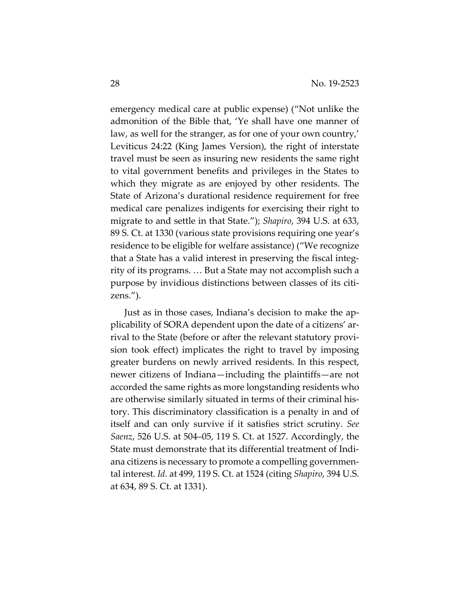emergency medical care at public expense) ("Not unlike the admonition of the Bible that, 'Ye shall have one manner of law, as well for the stranger, as for one of your own country,' Leviticus 24:22 (King James Version), the right of interstate travel must be seen as insuring new residents the same right to vital government benefits and privileges in the States to which they migrate as are enjoyed by other residents. The State of Arizona's durational residence requirement for free medical care penalizes indigents for exercising their right to migrate to and settle in that State."); *Shapiro*, 394 U.S. at 633, 89 S. Ct. at 1330 (various state provisions requiring one year's residence to be eligible for welfare assistance) ("We recognize that a State has a valid interest in preserving the fiscal integrity of its programs. … But a State may not accomplish such a purpose by invidious distinctions between classes of its citizens.").

Just as in those cases, Indiana's decision to make the applicability of SORA dependent upon the date of a citizens' arrival to the State (before or after the relevant statutory provision took effect) implicates the right to travel by imposing greater burdens on newly arrived residents. In this respect, newer citizens of Indiana—including the plaintiffs—are not accorded the same rights as more longstanding residents who are otherwise similarly situated in terms of their criminal history. This discriminatory classification is a penalty in and of itself and can only survive if it satisfies strict scrutiny. *See Saenz*, 526 U.S. at 504–05, 119 S. Ct. at 1527. Accordingly, the State must demonstrate that its differential treatment of Indiana citizens is necessary to promote a compelling governmental interest. *Id.* at 499, 119 S. Ct. at 1524 (citing *Shapiro*, 394 U.S. at 634, 89 S. Ct. at 1331).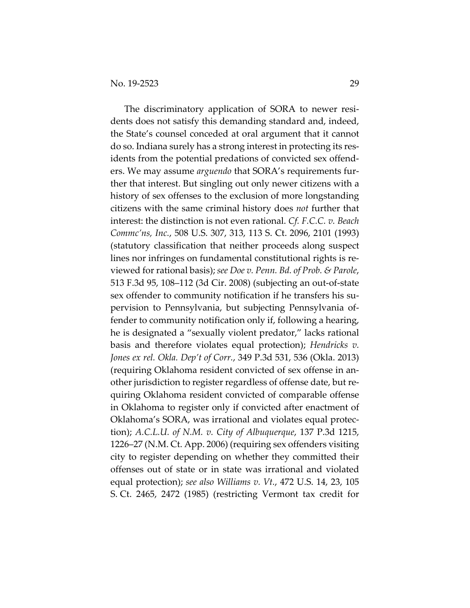The discriminatory application of SORA to newer residents does not satisfy this demanding standard and, indeed, the State's counsel conceded at oral argument that it cannot do so. Indiana surely has a strong interest in protecting its residents from the potential predations of convicted sex offenders. We may assume *arguendo* that SORA's requirements further that interest. But singling out only newer citizens with a history of sex offenses to the exclusion of more longstanding citizens with the same criminal history does *not* further that interest: the distinction is not even rational. *Cf. F.C.C. v. Beach Commc'ns, Inc.*, 508 U.S. 307, 313, 113 S. Ct. 2096, 2101 (1993) (statutory classification that neither proceeds along suspect lines nor infringes on fundamental constitutional rights is reviewed for rational basis); *see Doe v. Penn. Bd. of Prob. & Parole*, 513 F.3d 95, 108–112 (3d Cir. 2008) (subjecting an out-of-state sex offender to community notification if he transfers his supervision to Pennsylvania, but subjecting Pennsylvania offender to community notification only if, following a hearing, he is designated a "sexually violent predator," lacks rational basis and therefore violates equal protection); *Hendricks v. Jones ex rel. Okla. Dep't of Corr.*, 349 P.3d 531, 536 (Okla. 2013) (requiring Oklahoma resident convicted of sex offense in another jurisdiction to register regardless of offense date, but requiring Oklahoma resident convicted of comparable offense in Oklahoma to register only if convicted after enactment of Oklahoma's SORA, was irrational and violates equal protection); *A.C.L.U. of N.M. v. City of Albuquerque*, 137 P.3d 1215, 1226–27 (N.M. Ct. App. 2006) (requiring sex offenders visiting city to register depending on whether they committed their offenses out of state or in state was irrational and violated equal protection); *see also Williams v. Vt.*, 472 U.S. 14, 23, 105 S. Ct. 2465, 2472 (1985) (restricting Vermont tax credit for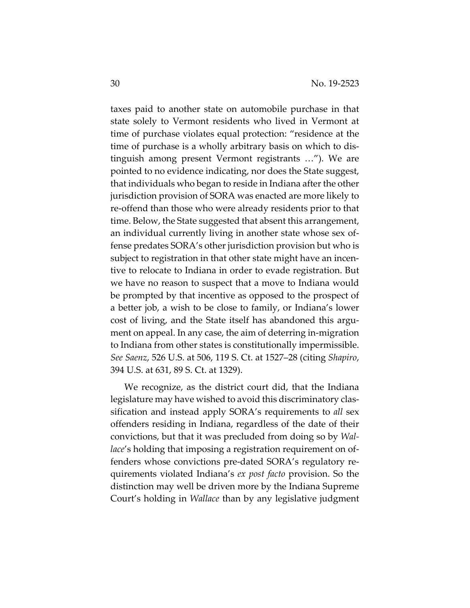taxes paid to another state on automobile purchase in that state solely to Vermont residents who lived in Vermont at time of purchase violates equal protection: "residence at the time of purchase is a wholly arbitrary basis on which to distinguish among present Vermont registrants …"). We are pointed to no evidence indicating, nor does the State suggest, that individuals who began to reside in Indiana after the other jurisdiction provision of SORA was enacted are more likely to re-offend than those who were already residents prior to that time. Below, the State suggested that absent this arrangement, an individual currently living in another state whose sex offense predates SORA's other jurisdiction provision but who is subject to registration in that other state might have an incentive to relocate to Indiana in order to evade registration. But we have no reason to suspect that a move to Indiana would be prompted by that incentive as opposed to the prospect of a better job, a wish to be close to family, or Indiana's lower cost of living, and the State itself has abandoned this argument on appeal. In any case, the aim of deterring in-migration to Indiana from other states is constitutionally impermissible. *See Saenz*, 526 U.S. at 506, 119 S. Ct. at 1527–28 (citing *Shapiro*, 394 U.S. at 631, 89 S. Ct. at 1329).

We recognize, as the district court did, that the Indiana legislature may have wished to avoid this discriminatory classification and instead apply SORA's requirements to *all* sex offenders residing in Indiana, regardless of the date of their convictions, but that it was precluded from doing so by *Wallace*'s holding that imposing a registration requirement on offenders whose convictions pre-dated SORA's regulatory requirements violated Indiana's *ex post facto* provision. So the distinction may well be driven more by the Indiana Supreme Court's holding in *Wallace* than by any legislative judgment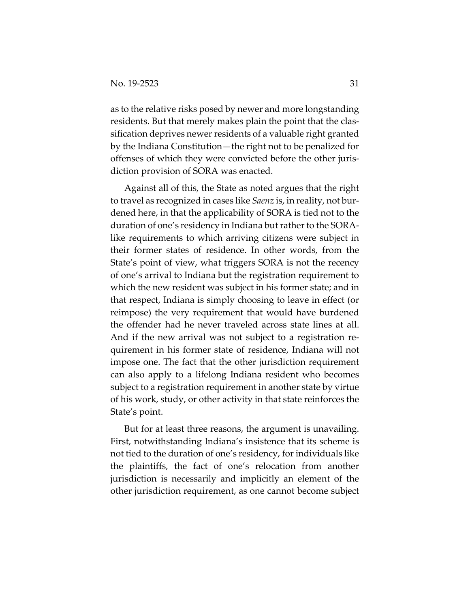as to the relative risks posed by newer and more longstanding residents. But that merely makes plain the point that the classification deprives newer residents of a valuable right granted by the Indiana Constitution—the right not to be penalized for offenses of which they were convicted before the other jurisdiction provision of SORA was enacted.

Against all of this, the State as noted argues that the right to travel as recognized in cases like *Saenz* is, in reality, not burdened here, in that the applicability of SORA is tied not to the duration of one's residency in Indiana but rather to the SORAlike requirements to which arriving citizens were subject in their former states of residence. In other words, from the State's point of view, what triggers SORA is not the recency of one's arrival to Indiana but the registration requirement to which the new resident was subject in his former state; and in that respect, Indiana is simply choosing to leave in effect (or reimpose) the very requirement that would have burdened the offender had he never traveled across state lines at all. And if the new arrival was not subject to a registration requirement in his former state of residence, Indiana will not impose one. The fact that the other jurisdiction requirement can also apply to a lifelong Indiana resident who becomes subject to a registration requirement in another state by virtue of his work, study, or other activity in that state reinforces the State's point.

But for at least three reasons, the argument is unavailing. First, notwithstanding Indiana's insistence that its scheme is not tied to the duration of one's residency, for individuals like the plaintiffs, the fact of one's relocation from another jurisdiction is necessarily and implicitly an element of the other jurisdiction requirement, as one cannot become subject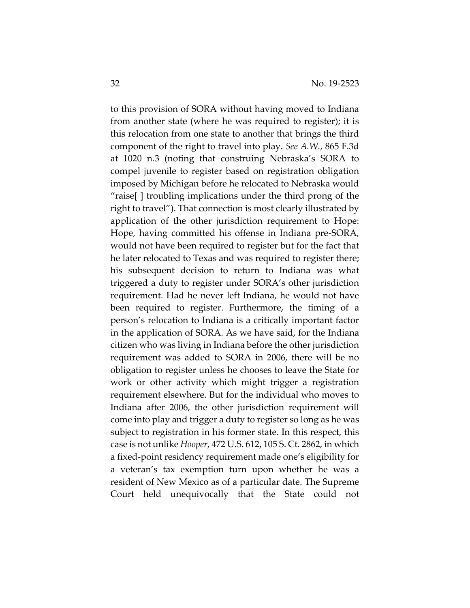to this provision of SORA without having moved to Indiana from another state (where he was required to register); it is this relocation from one state to another that brings the third component of the right to travel into play. *See A.W.*, 865 F.3d at 1020 n.3 (noting that construing Nebraska's SORA to compel juvenile to register based on registration obligation imposed by Michigan before he relocated to Nebraska would "raise[ ] troubling implications under the third prong of the right to travel"). That connection is most clearly illustrated by application of the other jurisdiction requirement to Hope: Hope, having committed his offense in Indiana pre-SORA, would not have been required to register but for the fact that he later relocated to Texas and was required to register there; his subsequent decision to return to Indiana was what triggered a duty to register under SORA's other jurisdiction requirement. Had he never left Indiana, he would not have been required to register. Furthermore, the timing of a person's relocation to Indiana is a critically important factor in the application of SORA. As we have said, for the Indiana citizen who was living in Indiana before the other jurisdiction requirement was added to SORA in 2006, there will be no obligation to register unless he chooses to leave the State for work or other activity which might trigger a registration requirement elsewhere. But for the individual who moves to Indiana after 2006, the other jurisdiction requirement will come into play and trigger a duty to register so long as he was subject to registration in his former state. In this respect, this case is not unlike *Hooper*, 472 U.S. 612, 105 S. Ct. 2862, in which a fixed-point residency requirement made one's eligibility for a veteran's tax exemption turn upon whether he was a resident of New Mexico as of a particular date. The Supreme Court held unequivocally that the State could not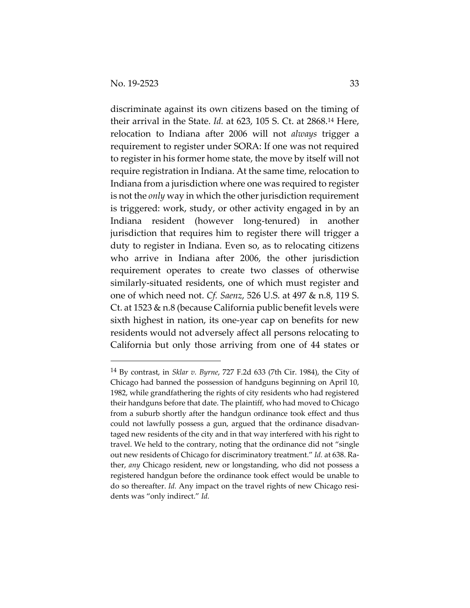discriminate against its own citizens based on the timing of their arrival in the State. *Id.* at 623, 105 S. Ct. at 2868.14 Here, relocation to Indiana after 2006 will not *always* trigger a requirement to register under SORA: If one was not required to register in his former home state, the move by itself will not require registration in Indiana. At the same time, relocation to Indiana from a jurisdiction where one was required to register is not the *only* way in which the other jurisdiction requirement is triggered: work, study, or other activity engaged in by an Indiana resident (however long-tenured) in another jurisdiction that requires him to register there will trigger a duty to register in Indiana. Even so, as to relocating citizens who arrive in Indiana after 2006, the other jurisdiction requirement operates to create two classes of otherwise similarly-situated residents, one of which must register and one of which need not. *Cf. Saenz*, 526 U.S. at 497 & n.8, 119 S. Ct. at 1523 & n.8 (because California public benefit levels were sixth highest in nation, its one-year cap on benefits for new residents would not adversely affect all persons relocating to California but only those arriving from one of 44 states or

<sup>14</sup> By contrast, in *Sklar v. Byrne*, 727 F.2d 633 (7th Cir. 1984), the City of Chicago had banned the possession of handguns beginning on April 10, 1982, while grandfathering the rights of city residents who had registered their handguns before that date. The plaintiff, who had moved to Chicago from a suburb shortly after the handgun ordinance took effect and thus could not lawfully possess a gun, argued that the ordinance disadvantaged new residents of the city and in that way interfered with his right to travel. We held to the contrary, noting that the ordinance did not "single out new residents of Chicago for discriminatory treatment." *Id.* at 638. Rather, *any* Chicago resident, new or longstanding, who did not possess a registered handgun before the ordinance took effect would be unable to do so thereafter. *Id.* Any impact on the travel rights of new Chicago residents was "only indirect." *Id.*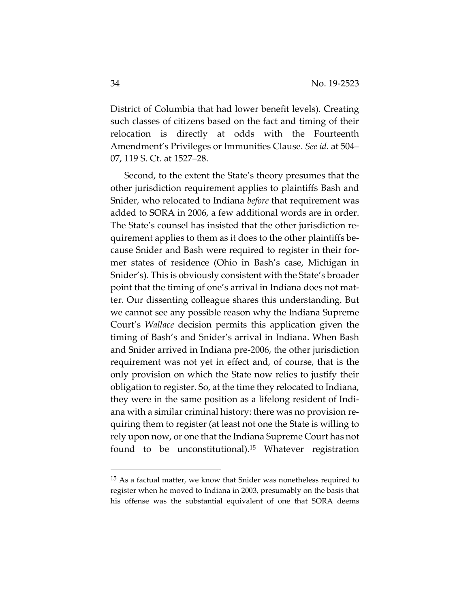District of Columbia that had lower benefit levels). Creating such classes of citizens based on the fact and timing of their relocation is directly at odds with the Fourteenth Amendment's Privileges or Immunities Clause. *See id.* at 504– 07, 119 S. Ct. at 1527–28.

Second, to the extent the State's theory presumes that the other jurisdiction requirement applies to plaintiffs Bash and Snider, who relocated to Indiana *before* that requirement was added to SORA in 2006, a few additional words are in order. The State's counsel has insisted that the other jurisdiction requirement applies to them as it does to the other plaintiffs because Snider and Bash were required to register in their former states of residence (Ohio in Bash's case, Michigan in Snider's). This is obviously consistent with the State's broader point that the timing of one's arrival in Indiana does not matter. Our dissenting colleague shares this understanding. But we cannot see any possible reason why the Indiana Supreme Court's *Wallace* decision permits this application given the timing of Bash's and Snider's arrival in Indiana. When Bash and Snider arrived in Indiana pre-2006, the other jurisdiction requirement was not yet in effect and, of course, that is the only provision on which the State now relies to justify their obligation to register. So, at the time they relocated to Indiana, they were in the same position as a lifelong resident of Indiana with a similar criminal history: there was no provision requiring them to register (at least not one the State is willing to rely upon now, or one that the Indiana Supreme Court has not found to be unconstitutional).15 Whatever registration

<sup>&</sup>lt;sup>15</sup> As a factual matter, we know that Snider was nonetheless required to register when he moved to Indiana in 2003, presumably on the basis that his offense was the substantial equivalent of one that SORA deems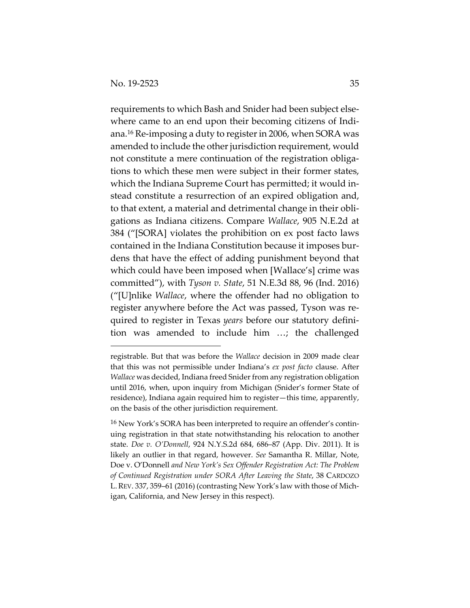requirements to which Bash and Snider had been subject elsewhere came to an end upon their becoming citizens of Indiana.16 Re-imposing a duty to register in 2006, when SORA was amended to include the other jurisdiction requirement, would not constitute a mere continuation of the registration obligations to which these men were subject in their former states, which the Indiana Supreme Court has permitted; it would instead constitute a resurrection of an expired obligation and, to that extent, a material and detrimental change in their obligations as Indiana citizens. Compare *Wallace*, 905 N.E.2d at 384 ("[SORA] violates the prohibition on ex post facto laws contained in the Indiana Constitution because it imposes burdens that have the effect of adding punishment beyond that which could have been imposed when [Wallace's] crime was committed"), with *Tyson v. State*, 51 N.E.3d 88, 96 (Ind. 2016) ("[U]nlike *Wallace*, where the offender had no obligation to register anywhere before the Act was passed, Tyson was required to register in Texas *years* before our statutory definition was amended to include him …; the challenged

registrable. But that was before the *Wallace* decision in 2009 made clear that this was not permissible under Indiana's *ex post facto* clause. After *Wallace* was decided, Indiana freed Snider from any registration obligation until 2016, when, upon inquiry from Michigan (Snider's former State of residence), Indiana again required him to register—this time, apparently, on the basis of the other jurisdiction requirement.

<sup>&</sup>lt;sup>16</sup> New York's SORA has been interpreted to require an offender's continuing registration in that state notwithstanding his relocation to another state. *Doe v. O'Donnell*, 924 N.Y.S.2d 684, 686–87 (App. Div. 2011). It is likely an outlier in that regard, however. *See* Samantha R. Millar, Note, Doe v. O'Donnell *and New York's Sex Offender Registration Act: The Problem of Continued Registration under SORA After Leaving the State*, 38 CARDOZO L.REV. 337, 359–61 (2016) (contrasting New York's law with those of Michigan, California, and New Jersey in this respect).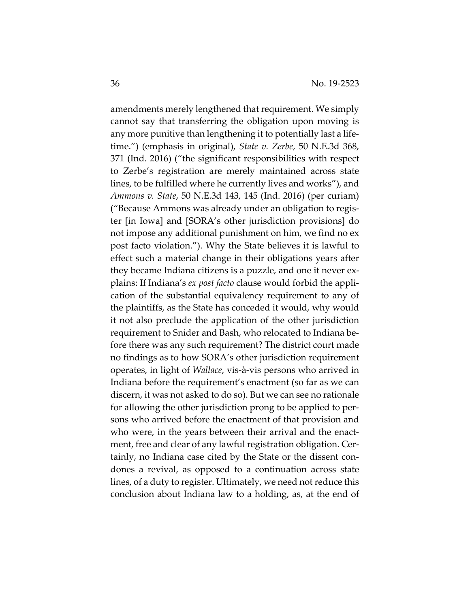amendments merely lengthened that requirement. We simply cannot say that transferring the obligation upon moving is any more punitive than lengthening it to potentially last a lifetime.") (emphasis in original), *State v. Zerbe*, 50 N.E.3d 368, 371 (Ind. 2016) ("the significant responsibilities with respect to Zerbe's registration are merely maintained across state lines, to be fulfilled where he currently lives and works"), and *Ammons v. State*, 50 N.E.3d 143, 145 (Ind. 2016) (per curiam) ("Because Ammons was already under an obligation to register [in Iowa] and [SORA's other jurisdiction provisions] do not impose any additional punishment on him, we find no ex post facto violation."). Why the State believes it is lawful to effect such a material change in their obligations years after they became Indiana citizens is a puzzle, and one it never explains: If Indiana's *ex post facto* clause would forbid the application of the substantial equivalency requirement to any of the plaintiffs, as the State has conceded it would, why would it not also preclude the application of the other jurisdiction requirement to Snider and Bash, who relocated to Indiana before there was any such requirement? The district court made no findings as to how SORA's other jurisdiction requirement operates, in light of *Wallace*, vis-à-vis persons who arrived in Indiana before the requirement's enactment (so far as we can discern, it was not asked to do so). But we can see no rationale for allowing the other jurisdiction prong to be applied to persons who arrived before the enactment of that provision and who were, in the years between their arrival and the enactment, free and clear of any lawful registration obligation. Certainly, no Indiana case cited by the State or the dissent condones a revival, as opposed to a continuation across state lines, of a duty to register. Ultimately, we need not reduce this conclusion about Indiana law to a holding, as, at the end of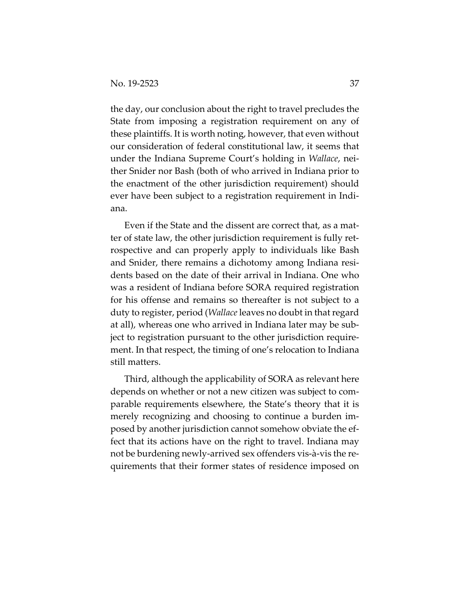the day, our conclusion about the right to travel precludes the State from imposing a registration requirement on any of these plaintiffs. It is worth noting, however, that even without our consideration of federal constitutional law, it seems that under the Indiana Supreme Court's holding in *Wallace*, neither Snider nor Bash (both of who arrived in Indiana prior to the enactment of the other jurisdiction requirement) should ever have been subject to a registration requirement in Indiana.

Even if the State and the dissent are correct that, as a matter of state law, the other jurisdiction requirement is fully retrospective and can properly apply to individuals like Bash and Snider, there remains a dichotomy among Indiana residents based on the date of their arrival in Indiana. One who was a resident of Indiana before SORA required registration for his offense and remains so thereafter is not subject to a duty to register, period (*Wallace* leaves no doubt in that regard at all), whereas one who arrived in Indiana later may be subject to registration pursuant to the other jurisdiction requirement. In that respect, the timing of one's relocation to Indiana still matters.

Third, although the applicability of SORA as relevant here depends on whether or not a new citizen was subject to comparable requirements elsewhere, the State's theory that it is merely recognizing and choosing to continue a burden imposed by another jurisdiction cannot somehow obviate the effect that its actions have on the right to travel. Indiana may not be burdening newly-arrived sex offenders vis-à-vis the requirements that their former states of residence imposed on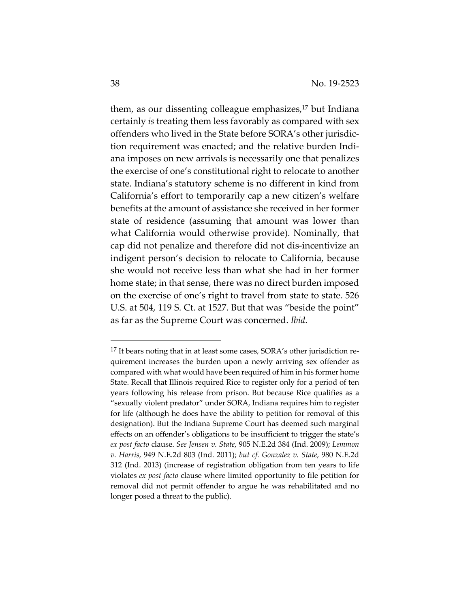them, as our dissenting colleague emphasizes,<sup>17</sup> but Indiana certainly *is* treating them less favorably as compared with sex offenders who lived in the State before SORA's other jurisdiction requirement was enacted; and the relative burden Indiana imposes on new arrivals is necessarily one that penalizes the exercise of one's constitutional right to relocate to another state. Indiana's statutory scheme is no different in kind from California's effort to temporarily cap a new citizen's welfare benefits at the amount of assistance she received in her former state of residence (assuming that amount was lower than what California would otherwise provide). Nominally, that cap did not penalize and therefore did not dis-incentivize an indigent person's decision to relocate to California, because she would not receive less than what she had in her former home state; in that sense, there was no direct burden imposed on the exercise of one's right to travel from state to state. 526 U.S. at 504, 119 S. Ct. at 1527. But that was "beside the point" as far as the Supreme Court was concerned. *Ibid.*

<sup>&</sup>lt;sup>17</sup> It bears noting that in at least some cases, SORA's other jurisdiction requirement increases the burden upon a newly arriving sex offender as compared with what would have been required of him in his former home State. Recall that Illinois required Rice to register only for a period of ten years following his release from prison. But because Rice qualifies as a "sexually violent predator" under SORA, Indiana requires him to register for life (although he does have the ability to petition for removal of this designation). But the Indiana Supreme Court has deemed such marginal effects on an offender's obligations to be insufficient to trigger the state's *ex post facto* clause. *See Jensen v. State*, 905 N.E.2d 384 (Ind. 2009); *Lemmon v. Harris*, 949 N.E.2d 803 (Ind. 2011); *but cf. Gonzalez v. State*, 980 N.E.2d 312 (Ind. 2013) (increase of registration obligation from ten years to life violates *ex post facto* clause where limited opportunity to file petition for removal did not permit offender to argue he was rehabilitated and no longer posed a threat to the public).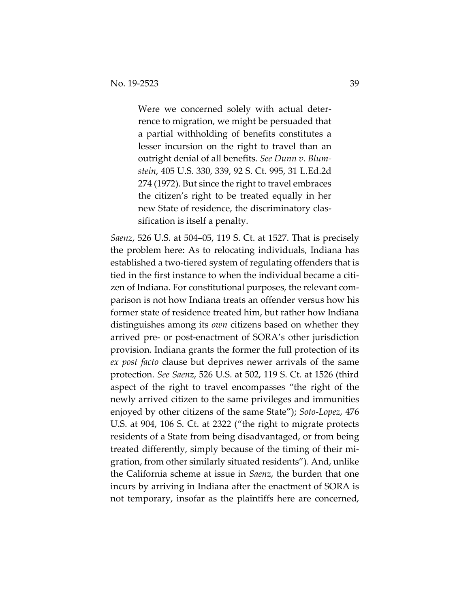Were we concerned solely with actual deterrence to migration, we might be persuaded that a partial withholding of benefits constitutes a lesser incursion on the right to travel than an outright denial of all benefits. *See Dunn v. Blumstein*, 405 U.S. 330, 339, 92 S. Ct. 995, 31 L.Ed.2d 274 (1972). But since the right to travel embraces the citizen's right to be treated equally in her new State of residence, the discriminatory classification is itself a penalty.

*Saenz*, 526 U.S. at 504–05, 119 S. Ct. at 1527. That is precisely the problem here: As to relocating individuals, Indiana has established a two-tiered system of regulating offenders that is tied in the first instance to when the individual became a citizen of Indiana. For constitutional purposes, the relevant comparison is not how Indiana treats an offender versus how his former state of residence treated him, but rather how Indiana distinguishes among its *own* citizens based on whether they arrived pre- or post-enactment of SORA's other jurisdiction provision. Indiana grants the former the full protection of its *ex post facto* clause but deprives newer arrivals of the same protection. *See Saenz*, 526 U.S. at 502, 119 S. Ct. at 1526 (third aspect of the right to travel encompasses "the right of the newly arrived citizen to the same privileges and immunities enjoyed by other citizens of the same State"); *Soto-Lopez*, 476 U.S. at 904, 106 S. Ct. at 2322 ("the right to migrate protects residents of a State from being disadvantaged, or from being treated differently, simply because of the timing of their migration, from other similarly situated residents"). And, unlike the California scheme at issue in *Saenz*, the burden that one incurs by arriving in Indiana after the enactment of SORA is not temporary, insofar as the plaintiffs here are concerned,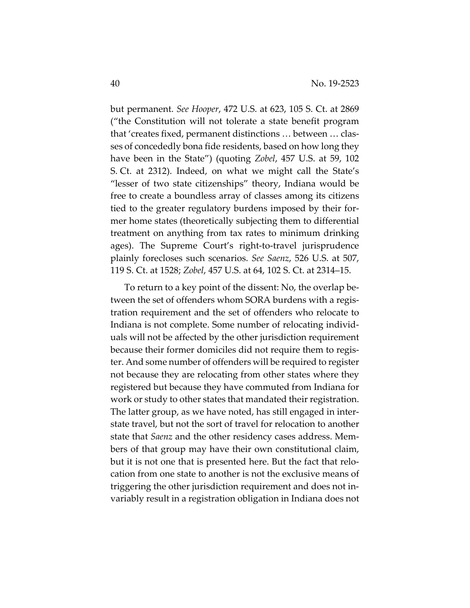but permanent. *See Hooper*, 472 U.S. at 623, 105 S. Ct. at 2869 ("the Constitution will not tolerate a state benefit program that 'creates fixed, permanent distinctions … between … classes of concededly bona fide residents, based on how long they have been in the State") (quoting *Zobel*, 457 U.S. at 59, 102 S. Ct. at 2312). Indeed, on what we might call the State's "lesser of two state citizenships" theory, Indiana would be free to create a boundless array of classes among its citizens tied to the greater regulatory burdens imposed by their former home states (theoretically subjecting them to differential treatment on anything from tax rates to minimum drinking ages). The Supreme Court's right-to-travel jurisprudence plainly forecloses such scenarios. *See Saenz*, 526 U.S. at 507, 119 S. Ct. at 1528; *Zobel*, 457 U.S. at 64, 102 S. Ct. at 2314–15.

To return to a key point of the dissent: No, the overlap between the set of offenders whom SORA burdens with a registration requirement and the set of offenders who relocate to Indiana is not complete. Some number of relocating individuals will not be affected by the other jurisdiction requirement because their former domiciles did not require them to register. And some number of offenders will be required to register not because they are relocating from other states where they registered but because they have commuted from Indiana for work or study to other states that mandated their registration. The latter group, as we have noted, has still engaged in interstate travel, but not the sort of travel for relocation to another state that *Saenz* and the other residency cases address. Members of that group may have their own constitutional claim, but it is not one that is presented here. But the fact that relocation from one state to another is not the exclusive means of triggering the other jurisdiction requirement and does not invariably result in a registration obligation in Indiana does not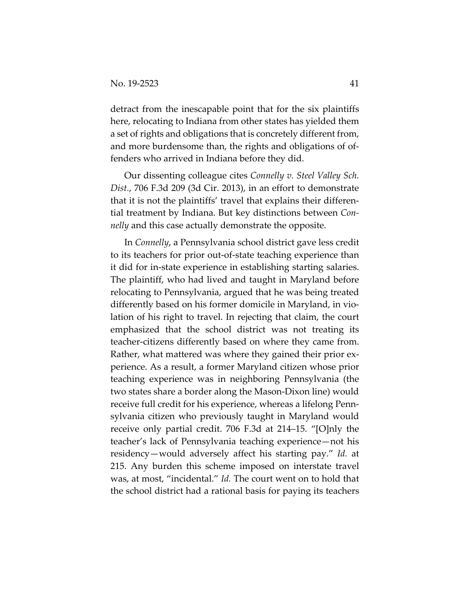detract from the inescapable point that for the six plaintiffs here, relocating to Indiana from other states has yielded them a set of rights and obligations that is concretely different from, and more burdensome than, the rights and obligations of offenders who arrived in Indiana before they did.

Our dissenting colleague cites *Connelly v. Steel Valley Sch. Dist.*, 706 F.3d 209 (3d Cir. 2013), in an effort to demonstrate that it is not the plaintiffs' travel that explains their differential treatment by Indiana. But key distinctions between *Connelly* and this case actually demonstrate the opposite.

In *Connelly*, a Pennsylvania school district gave less credit to its teachers for prior out-of-state teaching experience than it did for in-state experience in establishing starting salaries. The plaintiff, who had lived and taught in Maryland before relocating to Pennsylvania, argued that he was being treated differently based on his former domicile in Maryland, in violation of his right to travel. In rejecting that claim, the court emphasized that the school district was not treating its teacher-citizens differently based on where they came from. Rather, what mattered was where they gained their prior experience. As a result, a former Maryland citizen whose prior teaching experience was in neighboring Pennsylvania (the two states share a border along the Mason-Dixon line) would receive full credit for his experience, whereas a lifelong Pennsylvania citizen who previously taught in Maryland would receive only partial credit. 706 F.3d at 214–15. "[O]nly the teacher's lack of Pennsylvania teaching experience—not his residency—would adversely affect his starting pay." *Id.* at 215. Any burden this scheme imposed on interstate travel was, at most, "incidental." *Id.* The court went on to hold that the school district had a rational basis for paying its teachers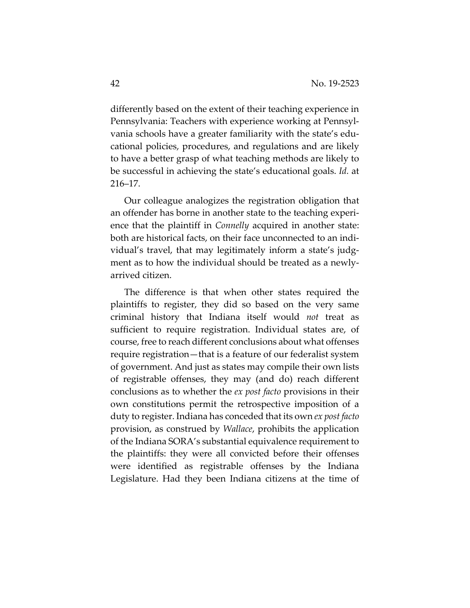differently based on the extent of their teaching experience in Pennsylvania: Teachers with experience working at Pennsylvania schools have a greater familiarity with the state's educational policies, procedures, and regulations and are likely to have a better grasp of what teaching methods are likely to be successful in achieving the state's educational goals. *Id.* at 216–17.

Our colleague analogizes the registration obligation that an offender has borne in another state to the teaching experience that the plaintiff in *Connelly* acquired in another state: both are historical facts, on their face unconnected to an individual's travel, that may legitimately inform a state's judgment as to how the individual should be treated as a newlyarrived citizen.

The difference is that when other states required the plaintiffs to register, they did so based on the very same criminal history that Indiana itself would *not* treat as sufficient to require registration. Individual states are, of course, free to reach different conclusions about what offenses require registration—that is a feature of our federalist system of government. And just as states may compile their own lists of registrable offenses, they may (and do) reach different conclusions as to whether the *ex post facto* provisions in their own constitutions permit the retrospective imposition of a duty to register. Indiana has conceded that its own *ex post facto* provision, as construed by *Wallace*, prohibits the application of the Indiana SORA's substantial equivalence requirement to the plaintiffs: they were all convicted before their offenses were identified as registrable offenses by the Indiana Legislature. Had they been Indiana citizens at the time of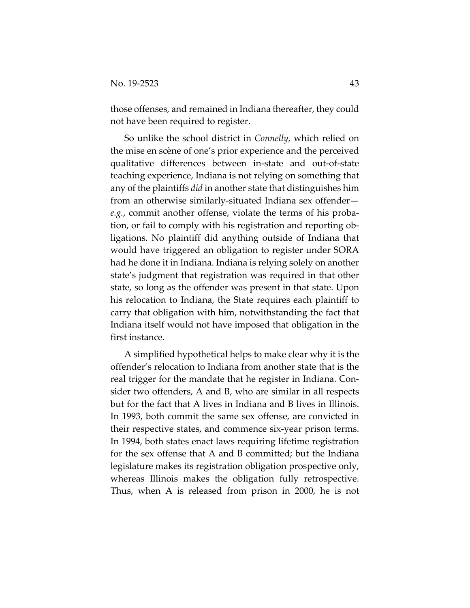those offenses, and remained in Indiana thereafter, they could not have been required to register.

So unlike the school district in *Connelly*, which relied on the mise en scène of one's prior experience and the perceived qualitative differences between in-state and out-of-state teaching experience, Indiana is not relying on something that any of the plaintiffs *did* in another state that distinguishes him from an otherwise similarly-situated Indiana sex offender *e.g.*, commit another offense, violate the terms of his probation, or fail to comply with his registration and reporting obligations. No plaintiff did anything outside of Indiana that would have triggered an obligation to register under SORA had he done it in Indiana. Indiana is relying solely on another state's judgment that registration was required in that other state, so long as the offender was present in that state. Upon his relocation to Indiana, the State requires each plaintiff to carry that obligation with him, notwithstanding the fact that Indiana itself would not have imposed that obligation in the first instance.

A simplified hypothetical helps to make clear why it is the offender's relocation to Indiana from another state that is the real trigger for the mandate that he register in Indiana. Consider two offenders, A and B, who are similar in all respects but for the fact that A lives in Indiana and B lives in Illinois. In 1993, both commit the same sex offense, are convicted in their respective states, and commence six-year prison terms. In 1994, both states enact laws requiring lifetime registration for the sex offense that A and B committed; but the Indiana legislature makes its registration obligation prospective only, whereas Illinois makes the obligation fully retrospective. Thus, when A is released from prison in 2000, he is not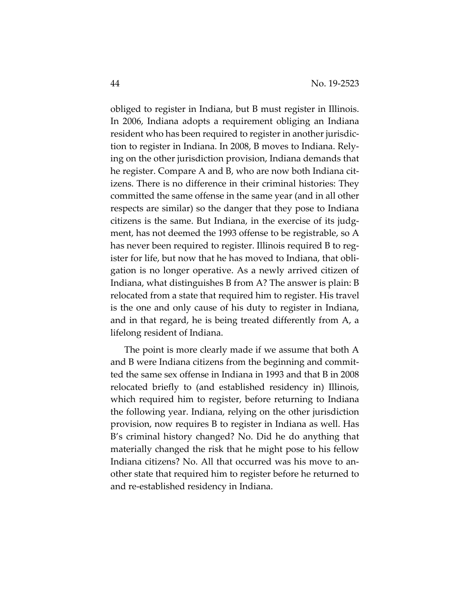obliged to register in Indiana, but B must register in Illinois. In 2006, Indiana adopts a requirement obliging an Indiana resident who has been required to register in another jurisdiction to register in Indiana. In 2008, B moves to Indiana. Relying on the other jurisdiction provision, Indiana demands that he register. Compare A and B, who are now both Indiana citizens. There is no difference in their criminal histories: They committed the same offense in the same year (and in all other respects are similar) so the danger that they pose to Indiana citizens is the same. But Indiana, in the exercise of its judgment, has not deemed the 1993 offense to be registrable, so A has never been required to register. Illinois required B to register for life, but now that he has moved to Indiana, that obligation is no longer operative. As a newly arrived citizen of Indiana, what distinguishes B from A? The answer is plain: B relocated from a state that required him to register. His travel is the one and only cause of his duty to register in Indiana, and in that regard, he is being treated differently from A, a lifelong resident of Indiana.

The point is more clearly made if we assume that both A and B were Indiana citizens from the beginning and committed the same sex offense in Indiana in 1993 and that B in 2008 relocated briefly to (and established residency in) Illinois, which required him to register, before returning to Indiana the following year. Indiana, relying on the other jurisdiction provision, now requires B to register in Indiana as well. Has B's criminal history changed? No. Did he do anything that materially changed the risk that he might pose to his fellow Indiana citizens? No. All that occurred was his move to another state that required him to register before he returned to and re-established residency in Indiana.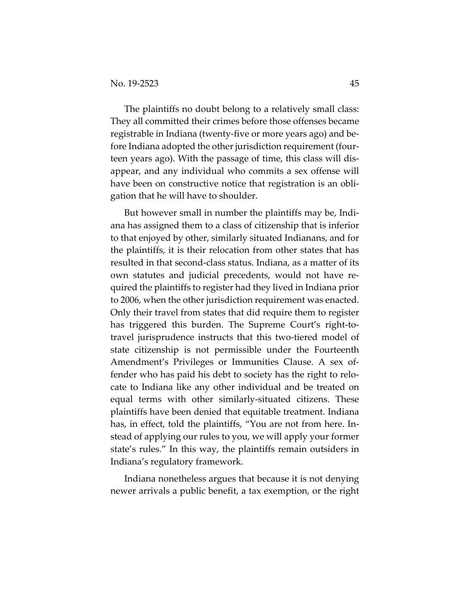The plaintiffs no doubt belong to a relatively small class: They all committed their crimes before those offenses became registrable in Indiana (twenty-five or more years ago) and before Indiana adopted the other jurisdiction requirement (fourteen years ago). With the passage of time, this class will disappear, and any individual who commits a sex offense will have been on constructive notice that registration is an obligation that he will have to shoulder.

But however small in number the plaintiffs may be, Indiana has assigned them to a class of citizenship that is inferior to that enjoyed by other, similarly situated Indianans, and for the plaintiffs, it is their relocation from other states that has resulted in that second-class status. Indiana, as a matter of its own statutes and judicial precedents, would not have required the plaintiffs to register had they lived in Indiana prior to 2006, when the other jurisdiction requirement was enacted. Only their travel from states that did require them to register has triggered this burden. The Supreme Court's right-totravel jurisprudence instructs that this two-tiered model of state citizenship is not permissible under the Fourteenth Amendment's Privileges or Immunities Clause. A sex offender who has paid his debt to society has the right to relocate to Indiana like any other individual and be treated on equal terms with other similarly-situated citizens. These plaintiffs have been denied that equitable treatment. Indiana has, in effect, told the plaintiffs, "You are not from here. Instead of applying our rules to you, we will apply your former state's rules." In this way, the plaintiffs remain outsiders in Indiana's regulatory framework.

Indiana nonetheless argues that because it is not denying newer arrivals a public benefit, a tax exemption, or the right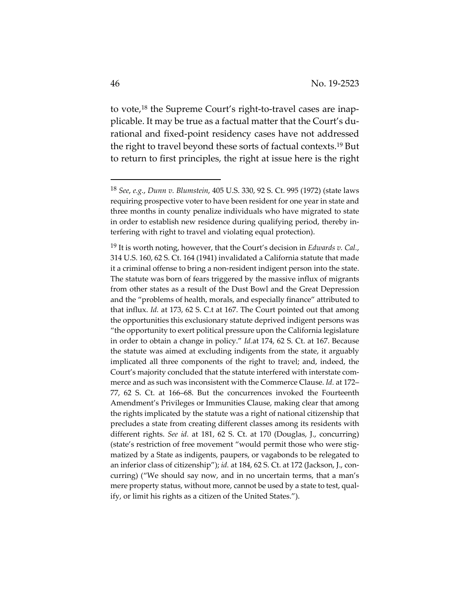to vote,18 the Supreme Court's right-to-travel cases are inapplicable. It may be true as a factual matter that the Court's durational and fixed-point residency cases have not addressed the right to travel beyond these sorts of factual contexts.19 But to return to first principles, the right at issue here is the right

<sup>18</sup> *See*, *e.g.*, *Dunn v. Blumstein*, 405 U.S. 330, 92 S. Ct. 995 (1972) (state laws requiring prospective voter to have been resident for one year in state and three months in county penalize individuals who have migrated to state in order to establish new residence during qualifying period, thereby interfering with right to travel and violating equal protection).

<sup>19</sup> It is worth noting, however, that the Court's decision in *Edwards v. Cal.*, 314 U.S. 160, 62 S. Ct. 164 (1941) invalidated a California statute that made it a criminal offense to bring a non-resident indigent person into the state. The statute was born of fears triggered by the massive influx of migrants from other states as a result of the Dust Bowl and the Great Depression and the "problems of health, morals, and especially finance" attributed to that influx. *Id.* at 173, 62 S. C.t at 167. The Court pointed out that among the opportunities this exclusionary statute deprived indigent persons was "the opportunity to exert political pressure upon the California legislature in order to obtain a change in policy." *Id.*at 174, 62 S. Ct. at 167. Because the statute was aimed at excluding indigents from the state, it arguably implicated all three components of the right to travel; and, indeed, the Court's majority concluded that the statute interfered with interstate commerce and as such was inconsistent with the Commerce Clause. *Id.* at 172– 77, 62 S. Ct. at 166–68. But the concurrences invoked the Fourteenth Amendment's Privileges or Immunities Clause, making clear that among the rights implicated by the statute was a right of national citizenship that precludes a state from creating different classes among its residents with different rights. *See id.* at 181, 62 S. Ct. at 170 (Douglas, J., concurring) (state's restriction of free movement "would permit those who were stigmatized by a State as indigents, paupers, or vagabonds to be relegated to an inferior class of citizenship"); *id.* at 184, 62 S. Ct. at 172 (Jackson, J., concurring) ("We should say now, and in no uncertain terms, that a man's mere property status, without more, cannot be used by a state to test, qualify, or limit his rights as a citizen of the United States.").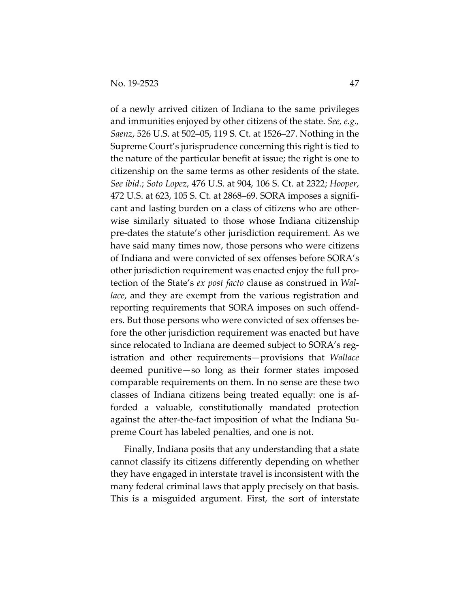of a newly arrived citizen of Indiana to the same privileges and immunities enjoyed by other citizens of the state. *See, e.g., Saenz*, 526 U.S. at 502–05, 119 S. Ct. at 1526–27. Nothing in the Supreme Court's jurisprudence concerning this right is tied to the nature of the particular benefit at issue; the right is one to citizenship on the same terms as other residents of the state. *See ibid.*; *Soto Lopez*, 476 U.S. at 904, 106 S. Ct. at 2322; *Hooper*, 472 U.S. at 623, 105 S. Ct. at 2868–69. SORA imposes a significant and lasting burden on a class of citizens who are otherwise similarly situated to those whose Indiana citizenship pre-dates the statute's other jurisdiction requirement. As we have said many times now, those persons who were citizens of Indiana and were convicted of sex offenses before SORA's other jurisdiction requirement was enacted enjoy the full protection of the State's *ex post facto* clause as construed in *Wallace*, and they are exempt from the various registration and reporting requirements that SORA imposes on such offenders. But those persons who were convicted of sex offenses before the other jurisdiction requirement was enacted but have since relocated to Indiana are deemed subject to SORA's registration and other requirements—provisions that *Wallace* deemed punitive—so long as their former states imposed comparable requirements on them. In no sense are these two classes of Indiana citizens being treated equally: one is afforded a valuable, constitutionally mandated protection against the after-the-fact imposition of what the Indiana Supreme Court has labeled penalties, and one is not.

Finally, Indiana posits that any understanding that a state cannot classify its citizens differently depending on whether they have engaged in interstate travel is inconsistent with the many federal criminal laws that apply precisely on that basis. This is a misguided argument. First, the sort of interstate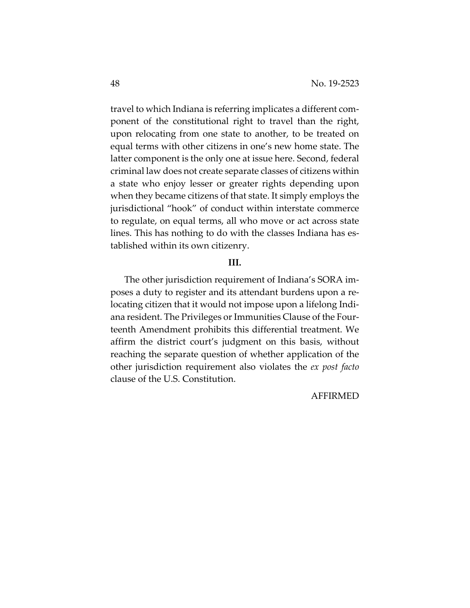travel to which Indiana is referring implicates a different component of the constitutional right to travel than the right, upon relocating from one state to another, to be treated on equal terms with other citizens in one's new home state. The latter component is the only one at issue here. Second, federal criminal law does not create separate classes of citizens within a state who enjoy lesser or greater rights depending upon when they became citizens of that state. It simply employs the jurisdictional "hook" of conduct within interstate commerce to regulate, on equal terms, all who move or act across state lines. This has nothing to do with the classes Indiana has established within its own citizenry.

## **III.**

The other jurisdiction requirement of Indiana's SORA imposes a duty to register and its attendant burdens upon a relocating citizen that it would not impose upon a lifelong Indiana resident. The Privileges or Immunities Clause of the Fourteenth Amendment prohibits this differential treatment. We affirm the district court's judgment on this basis, without reaching the separate question of whether application of the other jurisdiction requirement also violates the *ex post facto* clause of the U.S. Constitution.

#### AFFIRMED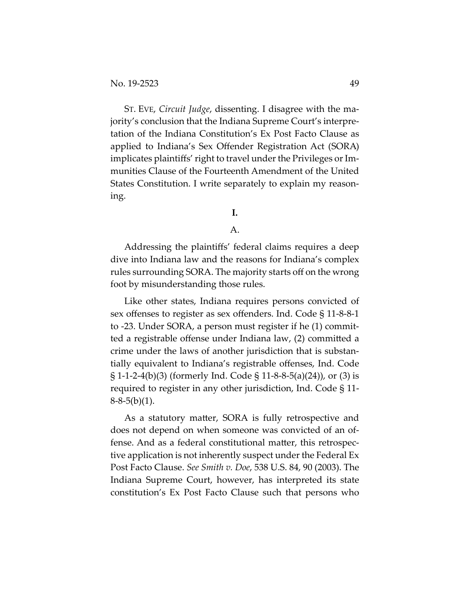ST. EVE, *Circuit Judge*, dissenting. I disagree with the majority's conclusion that the Indiana Supreme Court's interpretation of the Indiana Constitution's Ex Post Facto Clause as applied to Indiana's Sex Offender Registration Act (SORA) implicates plaintiffs' right to travel under the Privileges or Immunities Clause of the Fourteenth Amendment of the United States Constitution. I write separately to explain my reasoning.

# **I.**

## A.

Addressing the plaintiffs' federal claims requires a deep dive into Indiana law and the reasons for Indiana's complex rules surrounding SORA. The majority starts off on the wrong foot by misunderstanding those rules.

Like other states, Indiana requires persons convicted of sex offenses to register as sex offenders. Ind. Code § 11-8-8-1 to -23. Under SORA, a person must register if he (1) committed a registrable offense under Indiana law, (2) committed a crime under the laws of another jurisdiction that is substantially equivalent to Indiana's registrable offenses, Ind. Code § 1-1-2-4(b)(3) (formerly Ind. Code § 11-8-8-5(a)(24)), or (3) is required to register in any other jurisdiction, Ind. Code § 11-  $8-8-5(b)(1)$ .

As a statutory matter, SORA is fully retrospective and does not depend on when someone was convicted of an offense. And as a federal constitutional matter, this retrospective application is not inherently suspect under the Federal Ex Post Facto Clause. *See Smith v. Doe*, 538 U.S. 84, 90 (2003). The Indiana Supreme Court, however, has interpreted its state constitution's Ex Post Facto Clause such that persons who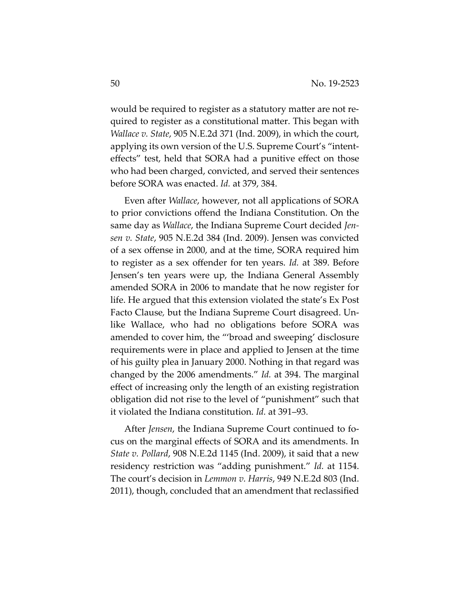would be required to register as a statutory matter are not required to register as a constitutional matter. This began with *Wallace v. State*, 905 N.E.2d 371 (Ind. 2009), in which the court, applying its own version of the U.S. Supreme Court's "intenteffects" test, held that SORA had a punitive effect on those who had been charged, convicted, and served their sentences before SORA was enacted. *Id.* at 379, 384.

Even after *Wallace*, however, not all applications of SORA to prior convictions offend the Indiana Constitution. On the same day as *Wallace*, the Indiana Supreme Court decided *Jensen v. State*, 905 N.E.2d 384 (Ind. 2009). Jensen was convicted of a sex offense in 2000, and at the time, SORA required him to register as a sex offender for ten years. *Id.* at 389. Before Jensen's ten years were up, the Indiana General Assembly amended SORA in 2006 to mandate that he now register for life. He argued that this extension violated the state's Ex Post Facto Clause*,* but the Indiana Supreme Court disagreed. Unlike Wallace, who had no obligations before SORA was amended to cover him, the "'broad and sweeping' disclosure requirements were in place and applied to Jensen at the time of his guilty plea in January 2000. Nothing in that regard was changed by the 2006 amendments." *Id.* at 394. The marginal effect of increasing only the length of an existing registration obligation did not rise to the level of "punishment" such that it violated the Indiana constitution. *Id.* at 391–93.

After *Jensen*, the Indiana Supreme Court continued to focus on the marginal effects of SORA and its amendments. In *State v. Pollard*, 908 N.E.2d 1145 (Ind. 2009), it said that a new residency restriction was "adding punishment." *Id.* at 1154. The court's decision in *Lemmon v. Harris*, 949 N.E.2d 803 (Ind. 2011), though, concluded that an amendment that reclassified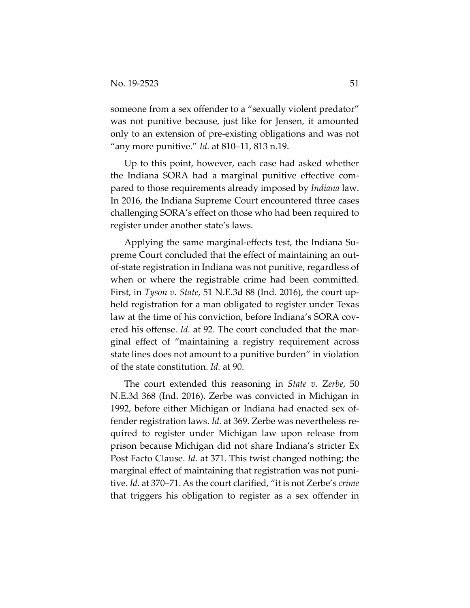someone from a sex offender to a "sexually violent predator" was not punitive because, just like for Jensen, it amounted only to an extension of pre-existing obligations and was not "any more punitive." *Id.* at 810–11, 813 n.19.

Up to this point, however, each case had asked whether the Indiana SORA had a marginal punitive effective compared to those requirements already imposed by *Indiana* law. In 2016, the Indiana Supreme Court encountered three cases challenging SORA's effect on those who had been required to register under another state's laws.

Applying the same marginal-effects test, the Indiana Supreme Court concluded that the effect of maintaining an outof-state registration in Indiana was not punitive, regardless of when or where the registrable crime had been committed. First, in *Tyson v. State*, 51 N.E.3d 88 (Ind. 2016), the court upheld registration for a man obligated to register under Texas law at the time of his conviction, before Indiana's SORA covered his offense. *Id.* at 92. The court concluded that the marginal effect of "maintaining a registry requirement across state lines does not amount to a punitive burden" in violation of the state constitution. *Id.* at 90.

The court extended this reasoning in *State v. Zerbe*, 50 N.E.3d 368 (Ind. 2016). Zerbe was convicted in Michigan in 1992, before either Michigan or Indiana had enacted sex offender registration laws. *Id.* at 369. Zerbe was nevertheless required to register under Michigan law upon release from prison because Michigan did not share Indiana's stricter Ex Post Facto Clause. *Id.* at 371. This twist changed nothing; the marginal effect of maintaining that registration was not punitive. *Id.* at 370–71. As the court clarified, "it is not Zerbe's *crime*  that triggers his obligation to register as a sex offender in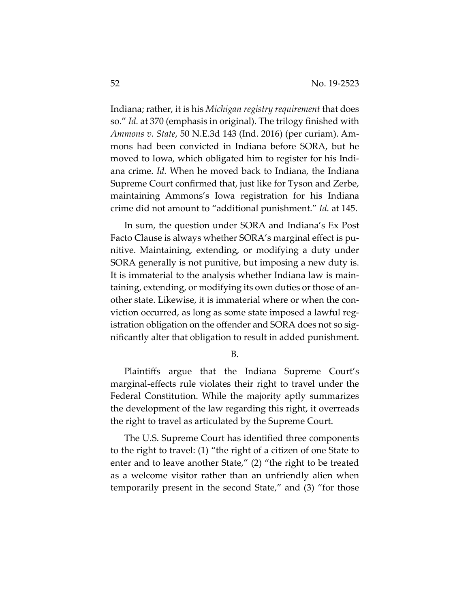Indiana; rather, it is his *Michigan registry requirement* that does so." *Id.* at 370 (emphasis in original). The trilogy finished with *Ammons v. State*, 50 N.E.3d 143 (Ind. 2016) (per curiam). Ammons had been convicted in Indiana before SORA, but he moved to Iowa, which obligated him to register for his Indiana crime. *Id.* When he moved back to Indiana, the Indiana Supreme Court confirmed that, just like for Tyson and Zerbe, maintaining Ammons's Iowa registration for his Indiana crime did not amount to "additional punishment." *Id.* at 145.

In sum, the question under SORA and Indiana's Ex Post Facto Clause is always whether SORA's marginal effect is punitive. Maintaining, extending, or modifying a duty under SORA generally is not punitive, but imposing a new duty is. It is immaterial to the analysis whether Indiana law is maintaining, extending, or modifying its own duties or those of another state. Likewise, it is immaterial where or when the conviction occurred, as long as some state imposed a lawful registration obligation on the offender and SORA does not so significantly alter that obligation to result in added punishment.

B.

Plaintiffs argue that the Indiana Supreme Court's marginal-effects rule violates their right to travel under the Federal Constitution. While the majority aptly summarizes the development of the law regarding this right, it overreads the right to travel as articulated by the Supreme Court.

The U.S. Supreme Court has identified three components to the right to travel: (1) "the right of a citizen of one State to enter and to leave another State," (2) "the right to be treated as a welcome visitor rather than an unfriendly alien when temporarily present in the second State," and (3) "for those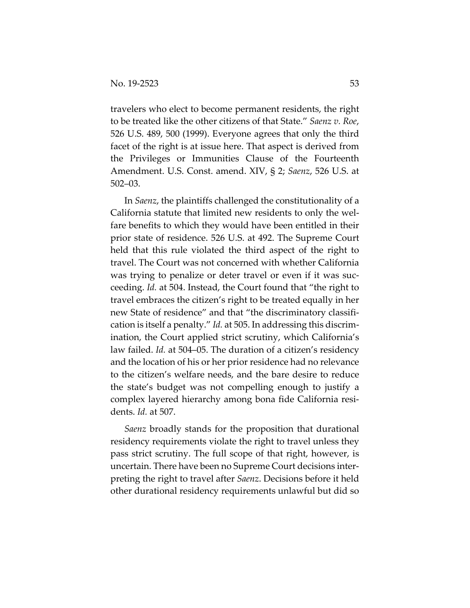travelers who elect to become permanent residents, the right to be treated like the other citizens of that State." *Saenz v. Roe*, 526 U.S. 489, 500 (1999). Everyone agrees that only the third facet of the right is at issue here. That aspect is derived from the Privileges or Immunities Clause of the Fourteenth Amendment. U.S. Const. amend. XIV, § 2; *Saenz*, 526 U.S. at 502–03.

In *Saenz*, the plaintiffs challenged the constitutionality of a California statute that limited new residents to only the welfare benefits to which they would have been entitled in their prior state of residence. 526 U.S. at 492. The Supreme Court held that this rule violated the third aspect of the right to travel. The Court was not concerned with whether California was trying to penalize or deter travel or even if it was succeeding. *Id.* at 504. Instead, the Court found that "the right to travel embraces the citizen's right to be treated equally in her new State of residence" and that "the discriminatory classification is itself a penalty." *Id.* at 505. In addressing this discrimination, the Court applied strict scrutiny, which California's law failed. *Id.* at 504–05. The duration of a citizen's residency and the location of his or her prior residence had no relevance to the citizen's welfare needs, and the bare desire to reduce the state's budget was not compelling enough to justify a complex layered hierarchy among bona fide California residents. *Id.* at 507.

*Saenz* broadly stands for the proposition that durational residency requirements violate the right to travel unless they pass strict scrutiny. The full scope of that right, however, is uncertain. There have been no Supreme Court decisions interpreting the right to travel after *Saenz*. Decisions before it held other durational residency requirements unlawful but did so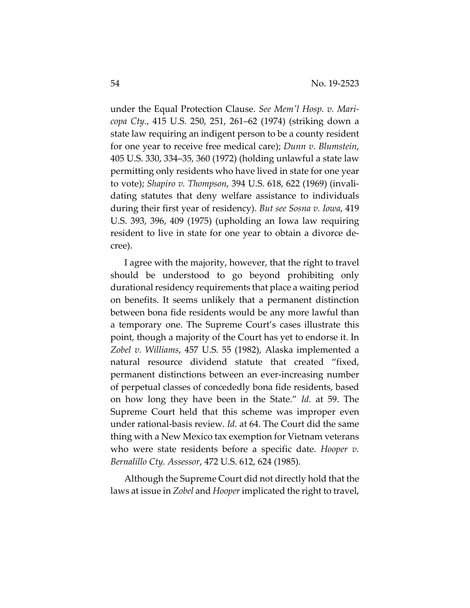under the Equal Protection Clause. *See Mem'l Hosp. v. Maricopa Cty.*, 415 U.S. 250, 251, 261–62 (1974) (striking down a state law requiring an indigent person to be a county resident for one year to receive free medical care); *Dunn v. Blumstein*, 405 U.S. 330, 334–35, 360 (1972) (holding unlawful a state law permitting only residents who have lived in state for one year to vote); *Shapiro v. Thompson*, 394 U.S. 618, 622 (1969) (invalidating statutes that deny welfare assistance to individuals during their first year of residency). *But see Sosna v. Iowa*, 419 U.S. 393, 396, 409 (1975) (upholding an Iowa law requiring resident to live in state for one year to obtain a divorce decree).

I agree with the majority, however, that the right to travel should be understood to go beyond prohibiting only durational residency requirements that place a waiting period on benefits. It seems unlikely that a permanent distinction between bona fide residents would be any more lawful than a temporary one. The Supreme Court's cases illustrate this point, though a majority of the Court has yet to endorse it. In *Zobel v. Williams*, 457 U.S. 55 (1982), Alaska implemented a natural resource dividend statute that created "fixed, permanent distinctions between an ever-increasing number of perpetual classes of concededly bona fide residents, based on how long they have been in the State." *Id.* at 59. The Supreme Court held that this scheme was improper even under rational-basis review. *Id.* at 64. The Court did the same thing with a New Mexico tax exemption for Vietnam veterans who were state residents before a specific date. *Hooper v. Bernalillo Cty. Assessor*, 472 U.S. 612, 624 (1985).

Although the Supreme Court did not directly hold that the laws at issue in *Zobel* and *Hooper* implicated the right to travel,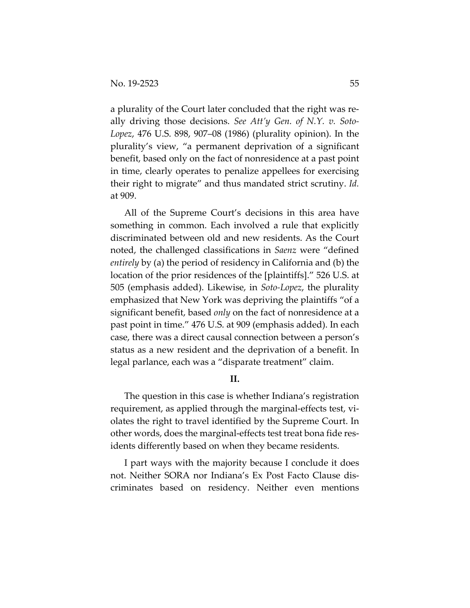a plurality of the Court later concluded that the right was really driving those decisions. *See Att'y Gen. of N.Y. v. Soto-Lopez*, 476 U.S. 898, 907–08 (1986) (plurality opinion). In the plurality's view, "a permanent deprivation of a significant benefit, based only on the fact of nonresidence at a past point in time, clearly operates to penalize appellees for exercising their right to migrate" and thus mandated strict scrutiny. *Id.*  at 909.

All of the Supreme Court's decisions in this area have something in common. Each involved a rule that explicitly discriminated between old and new residents. As the Court noted, the challenged classifications in *Saenz* were "defined *entirely* by (a) the period of residency in California and (b) the location of the prior residences of the [plaintiffs]." 526 U.S. at 505 (emphasis added). Likewise, in *Soto-Lopez*, the plurality emphasized that New York was depriving the plaintiffs "of a significant benefit, based *only* on the fact of nonresidence at a past point in time." 476 U.S. at 909 (emphasis added). In each case, there was a direct causal connection between a person's status as a new resident and the deprivation of a benefit. In legal parlance, each was a "disparate treatment" claim.

**II.** 

The question in this case is whether Indiana's registration requirement, as applied through the marginal-effects test, violates the right to travel identified by the Supreme Court. In other words, does the marginal-effects test treat bona fide residents differently based on when they became residents.

I part ways with the majority because I conclude it does not. Neither SORA nor Indiana's Ex Post Facto Clause discriminates based on residency. Neither even mentions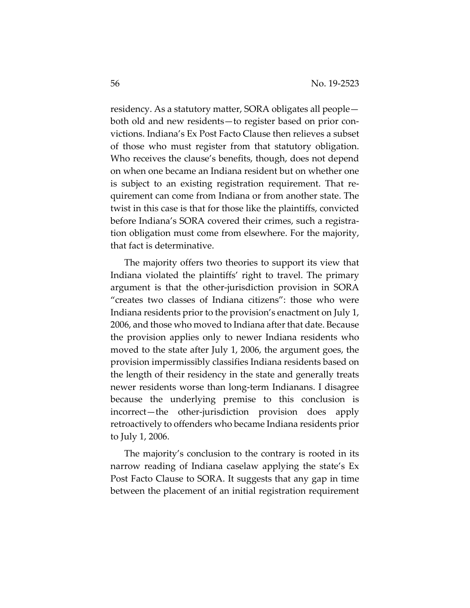residency. As a statutory matter, SORA obligates all people both old and new residents—to register based on prior convictions. Indiana's Ex Post Facto Clause then relieves a subset of those who must register from that statutory obligation. Who receives the clause's benefits, though, does not depend on when one became an Indiana resident but on whether one is subject to an existing registration requirement. That requirement can come from Indiana or from another state. The twist in this case is that for those like the plaintiffs, convicted before Indiana's SORA covered their crimes, such a registration obligation must come from elsewhere. For the majority, that fact is determinative.

The majority offers two theories to support its view that Indiana violated the plaintiffs' right to travel. The primary argument is that the other-jurisdiction provision in SORA "creates two classes of Indiana citizens": those who were Indiana residents prior to the provision's enactment on July 1, 2006, and those who moved to Indiana after that date. Because the provision applies only to newer Indiana residents who moved to the state after July 1, 2006, the argument goes, the provision impermissibly classifies Indiana residents based on the length of their residency in the state and generally treats newer residents worse than long-term Indianans. I disagree because the underlying premise to this conclusion is incorrect—the other-jurisdiction provision does apply retroactively to offenders who became Indiana residents prior to July 1, 2006.

The majority's conclusion to the contrary is rooted in its narrow reading of Indiana caselaw applying the state's Ex Post Facto Clause to SORA. It suggests that any gap in time between the placement of an initial registration requirement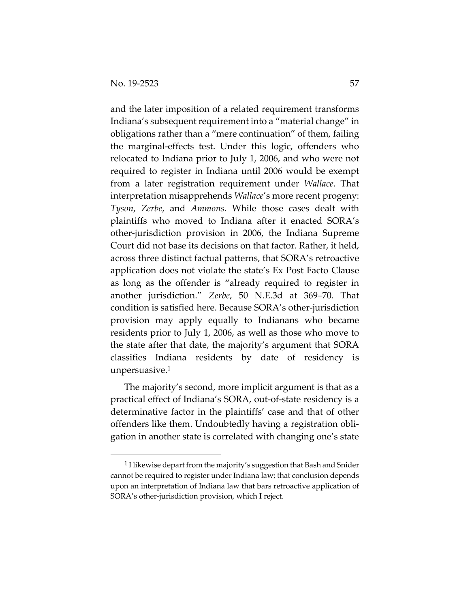and the later imposition of a related requirement transforms Indiana's subsequent requirement into a "material change" in obligations rather than a "mere continuation" of them, failing the marginal-effects test. Under this logic, offenders who relocated to Indiana prior to July 1, 2006, and who were not required to register in Indiana until 2006 would be exempt from a later registration requirement under *Wallace*. That interpretation misapprehends *Wallace*'s more recent progeny: *Tyson*, *Zerbe*, and *Ammons*. While those cases dealt with plaintiffs who moved to Indiana after it enacted SORA's other-jurisdiction provision in 2006, the Indiana Supreme Court did not base its decisions on that factor. Rather, it held, across three distinct factual patterns, that SORA's retroactive application does not violate the state's Ex Post Facto Clause as long as the offender is "already required to register in another jurisdiction." *Zerbe*, 50 N.E.3d at 369–70. That condition is satisfied here. Because SORA's other-jurisdiction provision may apply equally to Indianans who became residents prior to July 1, 2006, as well as those who move to the state after that date, the majority's argument that SORA classifies Indiana residents by date of residency is unpersuasive.1

The majority's second, more implicit argument is that as a practical effect of Indiana's SORA, out-of-state residency is a determinative factor in the plaintiffs' case and that of other offenders like them. Undoubtedly having a registration obligation in another state is correlated with changing one's state

<sup>&</sup>lt;sup>1</sup> I likewise depart from the majority's suggestion that Bash and Snider cannot be required to register under Indiana law; that conclusion depends upon an interpretation of Indiana law that bars retroactive application of SORA's other-jurisdiction provision, which I reject.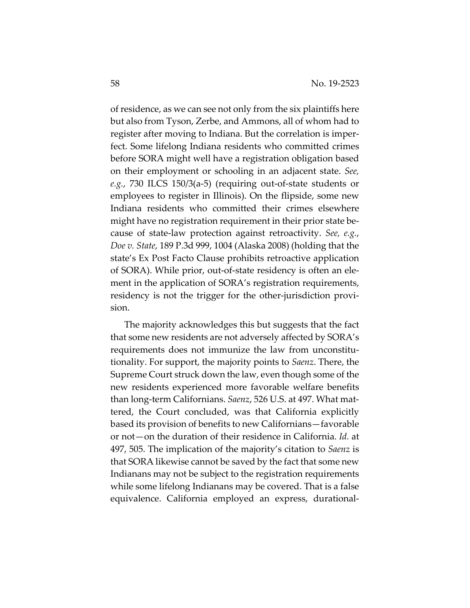of residence, as we can see not only from the six plaintiffs here but also from Tyson, Zerbe, and Ammons, all of whom had to register after moving to Indiana. But the correlation is imperfect. Some lifelong Indiana residents who committed crimes before SORA might well have a registration obligation based on their employment or schooling in an adjacent state. *See, e.g.*, 730 ILCS 150/3(a-5) (requiring out-of-state students or employees to register in Illinois). On the flipside, some new Indiana residents who committed their crimes elsewhere might have no registration requirement in their prior state because of state-law protection against retroactivity. *See, e.g.*, *Doe v. State*, 189 P.3d 999, 1004 (Alaska 2008) (holding that the state's Ex Post Facto Clause prohibits retroactive application of SORA). While prior, out-of-state residency is often an element in the application of SORA's registration requirements, residency is not the trigger for the other-jurisdiction provision.

The majority acknowledges this but suggests that the fact that some new residents are not adversely affected by SORA's requirements does not immunize the law from unconstitutionality. For support, the majority points to *Saenz*. There, the Supreme Court struck down the law, even though some of the new residents experienced more favorable welfare benefits than long-term Californians. *Saenz*, 526 U.S. at 497. What mattered, the Court concluded, was that California explicitly based its provision of benefits to new Californians—favorable or not—on the duration of their residence in California. *Id.* at 497, 505. The implication of the majority's citation to *Saenz* is that SORA likewise cannot be saved by the fact that some new Indianans may not be subject to the registration requirements while some lifelong Indianans may be covered. That is a false equivalence. California employed an express, durational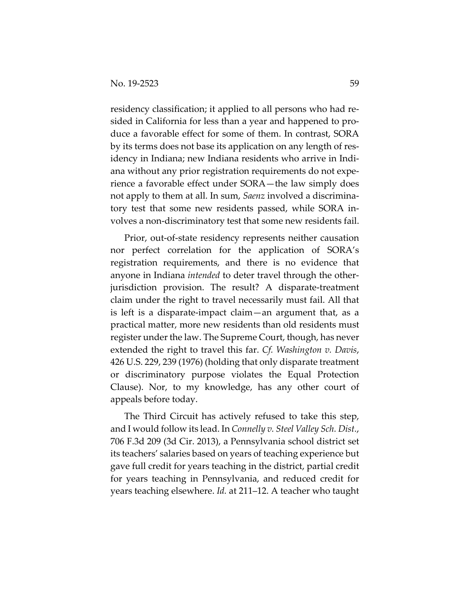residency classification; it applied to all persons who had resided in California for less than a year and happened to produce a favorable effect for some of them. In contrast, SORA by its terms does not base its application on any length of residency in Indiana; new Indiana residents who arrive in Indiana without any prior registration requirements do not experience a favorable effect under SORA—the law simply does not apply to them at all. In sum, *Saenz* involved a discriminatory test that some new residents passed, while SORA involves a non-discriminatory test that some new residents fail.

Prior, out-of-state residency represents neither causation nor perfect correlation for the application of SORA's registration requirements, and there is no evidence that anyone in Indiana *intended* to deter travel through the otherjurisdiction provision. The result? A disparate-treatment claim under the right to travel necessarily must fail. All that is left is a disparate-impact claim—an argument that, as a practical matter, more new residents than old residents must register under the law. The Supreme Court, though, has never extended the right to travel this far. *Cf. Washington v. Davis*, 426 U.S. 229, 239 (1976) (holding that only disparate treatment or discriminatory purpose violates the Equal Protection Clause). Nor, to my knowledge, has any other court of appeals before today.

The Third Circuit has actively refused to take this step, and I would follow its lead. In *Connelly v. Steel Valley Sch. Dist.*, 706 F.3d 209 (3d Cir. 2013), a Pennsylvania school district set its teachers' salaries based on years of teaching experience but gave full credit for years teaching in the district, partial credit for years teaching in Pennsylvania, and reduced credit for years teaching elsewhere. *Id.* at 211–12. A teacher who taught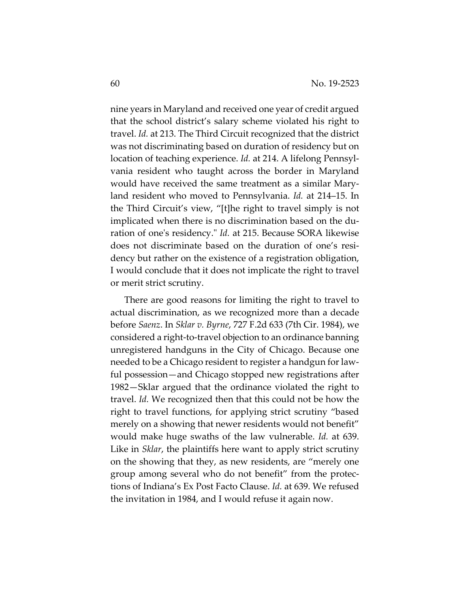nine years in Maryland and received one year of credit argued that the school district's salary scheme violated his right to travel. *Id.* at 213. The Third Circuit recognized that the district was not discriminating based on duration of residency but on location of teaching experience. *Id.* at 214. A lifelong Pennsylvania resident who taught across the border in Maryland would have received the same treatment as a similar Maryland resident who moved to Pennsylvania. *Id.* at 214–15. In the Third Circuit's view, "[t]he right to travel simply is not implicated when there is no discrimination based on the duration of one's residency." *Id.* at 215. Because SORA likewise does not discriminate based on the duration of one's residency but rather on the existence of a registration obligation, I would conclude that it does not implicate the right to travel or merit strict scrutiny.

There are good reasons for limiting the right to travel to actual discrimination, as we recognized more than a decade before *Saenz*. In *Sklar v. Byrne*, 727 F.2d 633 (7th Cir. 1984), we considered a right-to-travel objection to an ordinance banning unregistered handguns in the City of Chicago. Because one needed to be a Chicago resident to register a handgun for lawful possession—and Chicago stopped new registrations after 1982—Sklar argued that the ordinance violated the right to travel. *Id.* We recognized then that this could not be how the right to travel functions, for applying strict scrutiny "based merely on a showing that newer residents would not benefit" would make huge swaths of the law vulnerable. *Id.* at 639. Like in *Sklar*, the plaintiffs here want to apply strict scrutiny on the showing that they, as new residents, are "merely one group among several who do not benefit" from the protections of Indiana's Ex Post Facto Clause. *Id.* at 639. We refused the invitation in 1984, and I would refuse it again now.